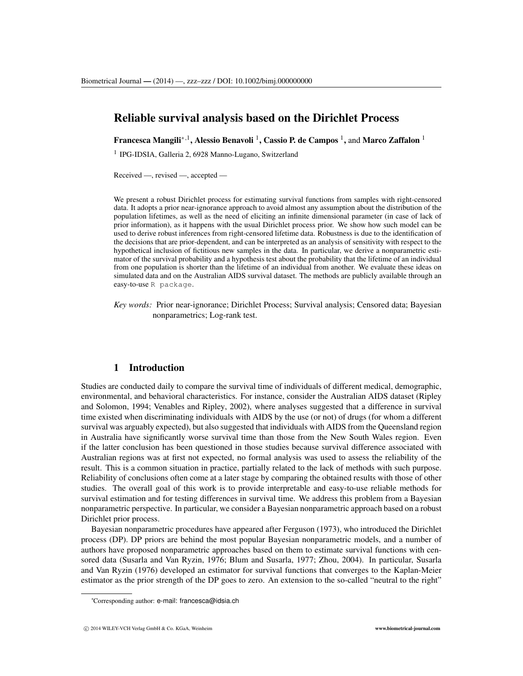# Reliable survival analysis based on the Dirichlet Process

Francesca Mangili $^{\ast,1}$ , Alessio Benavoli  $^1$ , Cassio P. de Campos  $^1$ , and Marco Zaffalon  $^1$ 

<sup>1</sup> IPG-IDSIA, Galleria 2, 6928 Manno-Lugano, Switzerland

Received —, revised —, accepted —

We present a robust Dirichlet process for estimating survival functions from samples with right-censored data. It adopts a prior near-ignorance approach to avoid almost any assumption about the distribution of the population lifetimes, as well as the need of eliciting an infinite dimensional parameter (in case of lack of prior information), as it happens with the usual Dirichlet process prior. We show how such model can be used to derive robust inferences from right-censored lifetime data. Robustness is due to the identification of the decisions that are prior-dependent, and can be interpreted as an analysis of sensitivity with respect to the hypothetical inclusion of fictitious new samples in the data. In particular, we derive a nonparametric estimator of the survival probability and a hypothesis test about the probability that the lifetime of an individual from one population is shorter than the lifetime of an individual from another. We evaluate these ideas on simulated data and on the Australian AIDS survival dataset. The methods are publicly available through an easy-to-use R package.

*Key words:* Prior near-ignorance; Dirichlet Process; Survival analysis; Censored data; Bayesian nonparametrics; Log-rank test.

### 1 Introduction

Studies are conducted daily to compare the survival time of individuals of different medical, demographic, environmental, and behavioral characteristics. For instance, consider the Australian AIDS dataset (Ripley and Solomon, 1994; Venables and Ripley, 2002), where analyses suggested that a difference in survival time existed when discriminating individuals with AIDS by the use (or not) of drugs (for whom a different survival was arguably expected), but also suggested that individuals with AIDS from the Queensland region in Australia have significantly worse survival time than those from the New South Wales region. Even if the latter conclusion has been questioned in those studies because survival difference associated with Australian regions was at first not expected, no formal analysis was used to assess the reliability of the result. This is a common situation in practice, partially related to the lack of methods with such purpose. Reliability of conclusions often come at a later stage by comparing the obtained results with those of other studies. The overall goal of this work is to provide interpretable and easy-to-use reliable methods for survival estimation and for testing differences in survival time. We address this problem from a Bayesian nonparametric perspective. In particular, we consider a Bayesian nonparametric approach based on a robust Dirichlet prior process.

Bayesian nonparametric procedures have appeared after Ferguson (1973), who introduced the Dirichlet process (DP). DP priors are behind the most popular Bayesian nonparametric models, and a number of authors have proposed nonparametric approaches based on them to estimate survival functions with censored data (Susarla and Van Ryzin, 1976; Blum and Susarla, 1977; Zhou, 2004). In particular, Susarla and Van Ryzin (1976) developed an estimator for survival functions that converges to the Kaplan-Meier estimator as the prior strength of the DP goes to zero. An extension to the so-called "neutral to the right"

<sup>∗</sup>Corresponding author: e-mail: francesca@idsia.ch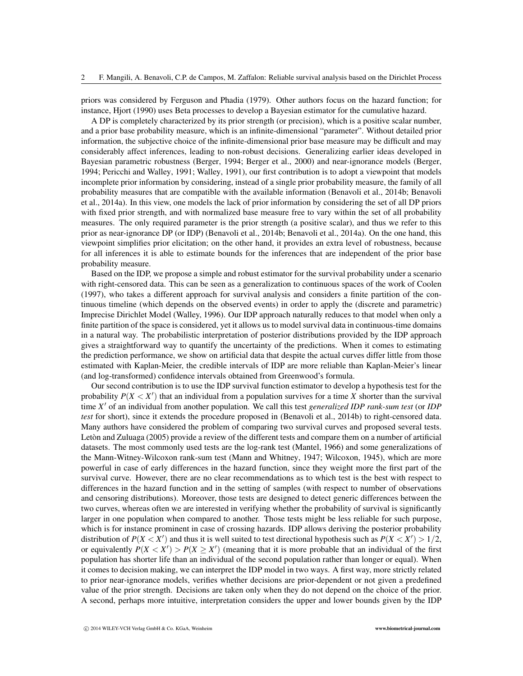priors was considered by Ferguson and Phadia (1979). Other authors focus on the hazard function; for instance, Hjort (1990) uses Beta processes to develop a Bayesian estimator for the cumulative hazard.

A DP is completely characterized by its prior strength (or precision), which is a positive scalar number, and a prior base probability measure, which is an infinite-dimensional "parameter". Without detailed prior information, the subjective choice of the infinite-dimensional prior base measure may be difficult and may considerably affect inferences, leading to non-robust decisions. Generalizing earlier ideas developed in Bayesian parametric robustness (Berger, 1994; Berger et al., 2000) and near-ignorance models (Berger, 1994; Pericchi and Walley, 1991; Walley, 1991), our first contribution is to adopt a viewpoint that models incomplete prior information by considering, instead of a single prior probability measure, the family of all probability measures that are compatible with the available information (Benavoli et al., 2014b; Benavoli et al., 2014a). In this view, one models the lack of prior information by considering the set of all DP priors with fixed prior strength, and with normalized base measure free to vary within the set of all probability measures. The only required parameter is the prior strength (a positive scalar), and thus we refer to this prior as near-ignorance DP (or IDP) (Benavoli et al., 2014b; Benavoli et al., 2014a). On the one hand, this viewpoint simplifies prior elicitation; on the other hand, it provides an extra level of robustness, because for all inferences it is able to estimate bounds for the inferences that are independent of the prior base probability measure.

Based on the IDP, we propose a simple and robust estimator for the survival probability under a scenario with right-censored data. This can be seen as a generalization to continuous spaces of the work of Coolen (1997), who takes a different approach for survival analysis and considers a finite partition of the continuous timeline (which depends on the observed events) in order to apply the (discrete and parametric) Imprecise Dirichlet Model (Walley, 1996). Our IDP approach naturally reduces to that model when only a finite partition of the space is considered, yet it allows us to model survival data in continuous-time domains in a natural way. The probabilistic interpretation of posterior distributions provided by the IDP approach gives a straightforward way to quantify the uncertainty of the predictions. When it comes to estimating the prediction performance, we show on artificial data that despite the actual curves differ little from those estimated with Kaplan-Meier, the credible intervals of IDP are more reliable than Kaplan-Meier's linear (and log-transformed) confidence intervals obtained from Greenwood's formula.

Our second contribution is to use the IDP survival function estimator to develop a hypothesis test for the probability  $P(X < X')$  that an individual from a population survives for a time X shorter than the survival time *X'* of an individual from another population. We call this test *generalized IDP rank-sum test* (or *IDP test* for short), since it extends the procedure proposed in (Benavoli et al., 2014b) to right-censored data. Many authors have considered the problem of comparing two survival curves and proposed several tests. Leton and Zuluaga (2005) provide a review of the different tests and compare them on a number of artificial datasets. The most commonly used tests are the log-rank test (Mantel, 1966) and some generalizations of the Mann-Witney-Wilcoxon rank-sum test (Mann and Whitney, 1947; Wilcoxon, 1945), which are more powerful in case of early differences in the hazard function, since they weight more the first part of the survival curve. However, there are no clear recommendations as to which test is the best with respect to differences in the hazard function and in the setting of samples (with respect to number of observations and censoring distributions). Moreover, those tests are designed to detect generic differences between the two curves, whereas often we are interested in verifying whether the probability of survival is significantly larger in one population when compared to another. Those tests might be less reliable for such purpose, which is for instance prominent in case of crossing hazards. IDP allows deriving the posterior probability distribution of  $P(X < X')$  and thus it is well suited to test directional hypothesis such as  $P(X < X') > 1/2$ , or equivalently  $P(X < X') > P(X \geq X')$  (meaning that it is more probable that an individual of the first population has shorter life than an individual of the second population rather than longer or equal). When it comes to decision making, we can interpret the IDP model in two ways. A first way, more strictly related to prior near-ignorance models, verifies whether decisions are prior-dependent or not given a predefined value of the prior strength. Decisions are taken only when they do not depend on the choice of the prior. A second, perhaps more intuitive, interpretation considers the upper and lower bounds given by the IDP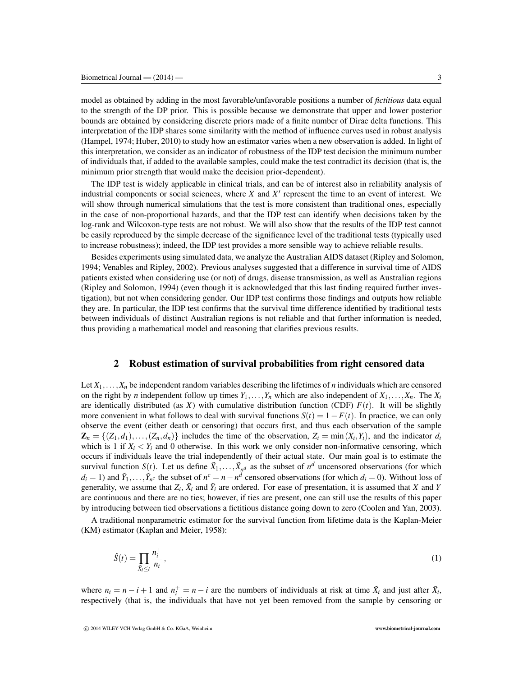model as obtained by adding in the most favorable/unfavorable positions a number of *fictitious* data equal to the strength of the DP prior. This is possible because we demonstrate that upper and lower posterior bounds are obtained by considering discrete priors made of a finite number of Dirac delta functions. This interpretation of the IDP shares some similarity with the method of influence curves used in robust analysis (Hampel, 1974; Huber, 2010) to study how an estimator varies when a new observation is added. In light of this interpretation, we consider as an indicator of robustness of the IDP test decision the minimum number of individuals that, if added to the available samples, could make the test contradict its decision (that is, the minimum prior strength that would make the decision prior-dependent).

The IDP test is widely applicable in clinical trials, and can be of interest also in reliability analysis of industrial components or social sciences, where  $X$  and  $X'$  represent the time to an event of interest. We will show through numerical simulations that the test is more consistent than traditional ones, especially in the case of non-proportional hazards, and that the IDP test can identify when decisions taken by the log-rank and Wilcoxon-type tests are not robust. We will also show that the results of the IDP test cannot be easily reproduced by the simple decrease of the significance level of the traditional tests (typically used to increase robustness); indeed, the IDP test provides a more sensible way to achieve reliable results.

Besides experiments using simulated data, we analyze the Australian AIDS dataset (Ripley and Solomon, 1994; Venables and Ripley, 2002). Previous analyses suggested that a difference in survival time of AIDS patients existed when considering use (or not) of drugs, disease transmission, as well as Australian regions (Ripley and Solomon, 1994) (even though it is acknowledged that this last finding required further investigation), but not when considering gender. Our IDP test confirms those findings and outputs how reliable they are. In particular, the IDP test confirms that the survival time difference identified by traditional tests between individuals of distinct Australian regions is not reliable and that further information is needed, thus providing a mathematical model and reasoning that clarifies previous results.

### 2 Robust estimation of survival probabilities from right censored data

Let  $X_1, \ldots, X_n$  be independent random variables describing the lifetimes of *n* individuals which are censored on the right by *n* independent follow up times  $Y_1, \ldots, Y_n$  which are also independent of  $X_1, \ldots, X_n$ . The  $X_i$ are identically distributed (as *X*) with cumulative distribution function (CDF)  $F(t)$ . It will be slightly more convenient in what follows to deal with survival functions  $S(t) = 1 - F(t)$ . In practice, we can only observe the event (either death or censoring) that occurs first, and thus each observation of the sample  $\mathbf{Z}_n = \{(Z_1, d_1), \ldots, (Z_n, d_n)\}\$  includes the time of the observation,  $Z_i = \min(X_i, Y_i)$ , and the indicator  $d_i$ which is 1 if  $X_i \leq Y_i$  and 0 otherwise. In this work we only consider non-informative censoring, which occurs if individuals leave the trial independently of their actual state. Our main goal is to estimate the survival function *S*(*t*). Let us define  $\tilde{X}_1, \ldots, \tilde{X}_{n^d}$  as the subset of  $n^d$  uncensored observations (for which  $d_i = 1$ ) and  $\tilde{Y}_1, \ldots, \tilde{Y}_{n^c}$  the subset of  $n^c = n - n^d$  censored observations (for which  $d_i = 0$ ). Without loss of generality, we assume that  $Z_i$ ,  $\tilde{X}_i$  and  $\tilde{Y}_i$  are ordered. For ease of presentation, it is assumed that *X* and *Y* are continuous and there are no ties; however, if ties are present, one can still use the results of this paper by introducing between tied observations a fictitious distance going down to zero (Coolen and Yan, 2003).

A traditional nonparametric estimator for the survival function from lifetime data is the Kaplan-Meier (KM) estimator (Kaplan and Meier, 1958):

$$
\hat{S}(t) = \prod_{\tilde{X}_i \le t} \frac{n_i^+}{n_i},\tag{1}
$$

where  $n_i = n - i + 1$  and  $n_i^+ = n - i$  are the numbers of individuals at risk at time  $\tilde{X}_i$  and just after  $\tilde{X}_i$ , respectively (that is, the individuals that have not yet been removed from the sample by censoring or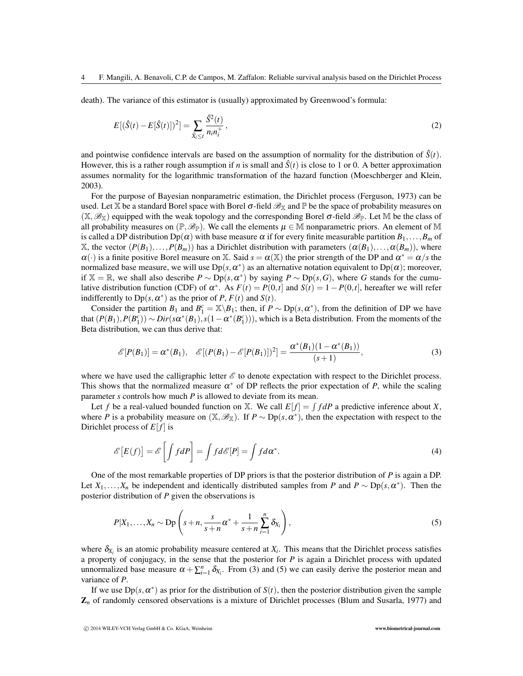death). The variance of this estimator is (usually) approximated by Greenwood's formula:

$$
E[(\hat{S}(t) - E[\hat{S}(t)])^2] = \sum_{\hat{X}_i \le t} \frac{\hat{S}^2(t)}{n_i n_i^+},
$$
\n(2)

and pointwise confidence intervals are based on the assumption of normality for the distribution of  $\hat{S}(t)$ . However, this is a rather rough assumption if *n* is small and  $\hat{S}(t)$  is close to 1 or 0. A better approximation assumes normality for the logarithmic transformation of the hazard function (Moeschberger and Klein, 2003).

For the purpose of Bayesian nonparametric estimation, the Dirichlet process (Ferguson, 1973) can be used. Let X be a standard Borel space with Borel  $\sigma$ -field  $\mathscr{B}_{X}$  and  $\mathbb{P}$  be the space of probability measures on  $(\mathbb{X}, \mathscr{B}_{\mathbb{X}})$  equipped with the weak topology and the corresponding Borel  $\sigma$ -field  $\mathscr{B}_{\mathbb{P}}$ . Let M be the class of all probability measures on  $(\mathbb{P}, \mathcal{B}_{\mathbb{P}})$ . We call the elements  $\mu \in \mathbb{M}$  nonparametric priors. An element of M is called a DP distribution  $Dp(\alpha)$  with base measure  $\alpha$  if for every finite measurable partition  $B_1, \ldots, B_m$  of X, the vector  $(P(B_1),...,P(B_m))$  has a Dirichlet distribution with parameters  $(\alpha(B_1),...,\alpha(B_m))$ , where  $\alpha(\cdot)$  is a finite positive Borel measure on X. Said  $s = \alpha(\mathbb{X})$  the prior strength of the DP and  $\alpha^* = \alpha/s$  the normalized base measure, we will use  $Dp(s, \alpha^*)$  as an alternative notation equivalent to  $Dp(\alpha)$ ; moreover, if  $X = \mathbb{R}$ , we shall also describe  $P \sim \text{Dp}(s, \alpha^*)$  by saying  $P \sim \text{Dp}(s, G)$ , where *G* stands for the cumulative distribution function (CDF) of  $\alpha^*$ . As  $F(t) = P(0,t]$  and  $S(t) = 1 - P(0,t]$ , hereafter we will refer indifferently to  $Dp(s, \alpha^*)$  as the prior of *P*,  $F(t)$  and  $S(t)$ .

Consider the partition  $B_1$  and  $B_1^c = \mathbb{X} \backslash B_1$ ; then, if  $P \sim \text{Dp}(s, \alpha^*)$ , from the definition of DP we have that  $(P(B_1), P(B_1^c)) \sim Dir(s\alpha^*(B_1), s(1-\alpha^*(B_1^c))),$  which is a Beta distribution. From the moments of the Beta distribution, we can thus derive that:

$$
\mathcal{E}[P(B_1)] = \alpha^*(B_1), \quad \mathcal{E}[(P(B_1) - \mathcal{E}[P(B_1)])^2] = \frac{\alpha^*(B_1)(1 - \alpha^*(B_1))}{(s+1)},
$$
\n(3)

where we have used the calligraphic letter  $\mathscr E$  to denote expectation with respect to the Dirichlet process. This shows that the normalized measure  $\alpha^*$  of DP reflects the prior expectation of *P*, while the scaling parameter *s* controls how much *P* is allowed to deviate from its mean.

Let *f* be a real-valued bounded function on X. We call  $E[f] = \int f dP$  a predictive inference about *X*, where *P* is a probability measure on  $(X, \mathscr{B}_X)$ . If  $P \sim Dp(s, \alpha^*)$ , then the expectation with respect to the Dirichlet process of  $E[f]$  is

$$
\mathscr{E}\left[E(f)\right] = \mathscr{E}\left[\int f dP\right] = \int f d\mathscr{E}[P] = \int f d\alpha^*.
$$
\n(4)

One of the most remarkable properties of DP priors is that the posterior distribution of *P* is again a DP. Let  $X_1, \ldots, X_n$  be independent and identically distributed samples from *P* and  $P \sim \text{Dp}(s, \alpha^*)$ . Then the posterior distribution of *P* given the observations is

$$
P|X_1,\ldots,X_n \sim \mathrm{Dp}\left(s+n,\frac{s}{s+n}\alpha^*+\frac{1}{s+n}\sum_{i=1}^n \delta_{X_i}\right),\tag{5}
$$

where  $\delta_{X_i}$  is an atomic probability measure centered at  $X_i$ . This means that the Dirichlet process satisfies a property of conjugacy, in the sense that the posterior for *P* is again a Dirichlet process with updated unnormalized base measure  $\alpha + \sum_{i=1}^{n} \delta_{X_i}$ . From (3) and (5) we can easily derive the posterior mean and variance of *P*.

If we use  $Dp(s, \alpha^*)$  as prior for the distribution of  $S(t)$ , then the posterior distribution given the sample  $\mathbb{Z}_n$  of randomly censored observations is a mixture of Dirichlet processes (Blum and Susarla, 1977) and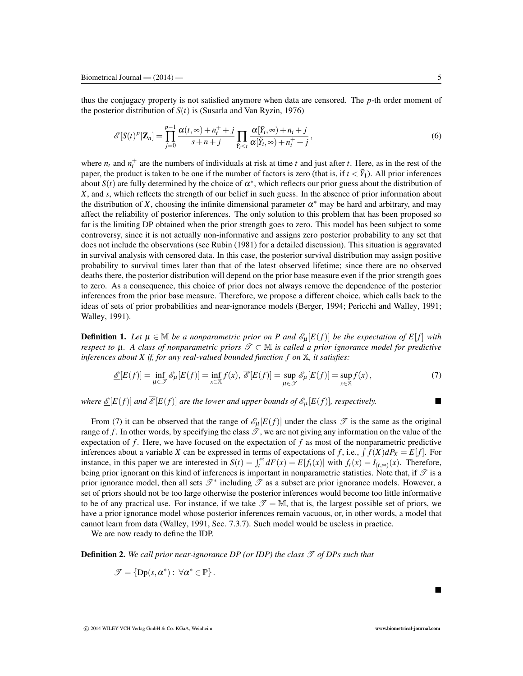thus the conjugacy property is not satisfied anymore when data are censored. The *p*-th order moment of the posterior distribution of  $S(t)$  is (Susarla and Van Ryzin, 1976)

$$
\mathcal{E}[S(t)^p | \mathbf{Z}_n] = \prod_{j=0}^{p-1} \frac{\alpha(t, \infty) + n_t^+ + j}{s + n + j} \prod_{\tilde{Y}_i \le t} \frac{\alpha(\tilde{Y}_i, \infty) + n_i + j}{\alpha(\tilde{Y}_i, \infty) + n_t^+ + j},
$$
\n
$$
(6)
$$

where  $n_t$  and  $n_t^+$  are the numbers of individuals at risk at time *t* and just after *t*. Here, as in the rest of the paper, the product is taken to be one if the number of factors is zero (that is, if  $t < \tilde{Y}_1$ ). All prior inferences about  $S(t)$  are fully determined by the choice of  $\alpha^*$ , which reflects our prior guess about the distribution of *X*, and *s*, which reflects the strength of our belief in such guess. In the absence of prior information about the distribution of *X*, choosing the infinite dimensional parameter  $\alpha^*$  may be hard and arbitrary, and may affect the reliability of posterior inferences. The only solution to this problem that has been proposed so far is the limiting DP obtained when the prior strength goes to zero. This model has been subject to some controversy, since it is not actually non-informative and assigns zero posterior probability to any set that does not include the observations (see Rubin (1981) for a detailed discussion). This situation is aggravated in survival analysis with censored data. In this case, the posterior survival distribution may assign positive probability to survival times later than that of the latest observed lifetime; since there are no observed deaths there, the posterior distribution will depend on the prior base measure even if the prior strength goes to zero. As a consequence, this choice of prior does not always remove the dependence of the posterior inferences from the prior base measure. Therefore, we propose a different choice, which calls back to the ideas of sets of prior probabilities and near-ignorance models (Berger, 1994; Pericchi and Walley, 1991; Walley, 1991).

**Definition 1.** Let  $\mu \in \mathbb{M}$  be a nonparametric prior on P and  $\mathscr{E}_{\mu}[E(f)]$  be the expectation of  $E[f]$  with *respect to* µ*. A class of nonparametric priors* T ⊂ M *is called a prior ignorance model for predictive inferences about X if, for any real-valued bounded function f on* X*, it satisfies:*

$$
\underline{\mathscr{E}}[E(f)] = \inf_{\mu \in \mathcal{F}} \mathscr{E}_{\mu}[E(f)] = \inf_{x \in \mathbb{X}} f(x), \overline{\mathscr{E}}[E(f)] = \sup_{\mu \in \mathcal{F}} \mathscr{E}_{\mu}[E(f)] = \sup_{x \in \mathbb{X}} f(x),\tag{7}
$$

*where*  $\mathcal{E}[E(f)]$  *and*  $\overline{\mathcal{E}}[E(f)]$  *are the lower and upper bounds of*  $\mathcal{E}_{\mu}[E(f)]$ *, respectively.* 

From (7) it can be observed that the range of  $\mathscr{E}_{\mu}[E(f)]$  under the class  $\mathscr{T}$  is the same as the original range of f. In other words, by specifying the class  $\mathscr{T}$ , we are not giving any information on the value of the expectation of *f* . Here, we have focused on the expectation of *f* as most of the nonparametric predictive inferences about a variable *X* can be expressed in terms of expectations of *f*, i.e.,  $\int f(X) dP_X = E[f]$ . For instance, in this paper we are interested in  $S(t) = \int_t^{\infty} dF(x) = E[f_t(x)]$  with  $f_t(x) = I_{(t,\infty)}(x)$ . Therefore, being prior ignorant on this kind of inferences is important in nonparametric statistics. Note that, if  $\mathcal T$  is a prior ignorance model, then all sets  $\mathscr{T}^*$  including  $\mathscr{T}$  as a subset are prior ignorance models. However, a set of priors should not be too large otherwise the posterior inferences would become too little informative to be of any practical use. For instance, if we take  $\mathscr{T} = \mathbb{M}$ , that is, the largest possible set of priors, we have a prior ignorance model whose posterior inferences remain vacuous, or, in other words, a model that cannot learn from data (Walley, 1991, Sec. 7.3.7). Such model would be useless in practice.

We are now ready to define the IDP.

**Definition 2.** We call prior near-ignorance DP (or IDP) the class  $\mathscr T$  of DPs such that

$$
\mathscr{T} = \{ \mathrm{Dp}(s, \alpha^*) : \ \forall \alpha^* \in \mathbb{P} \} \, .
$$

 $\blacksquare$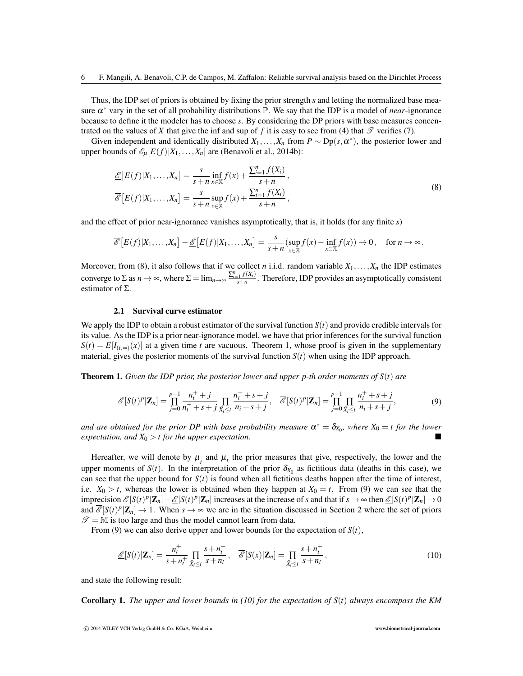Thus, the IDP set of priors is obtained by fixing the prior strength *s* and letting the normalized base measure  $\alpha^*$  vary in the set of all probability distributions  $\mathbb{P}$ . We say that the IDP is a model of *near*-ignorance because to define it the modeler has to choose *s*. By considering the DP priors with base measures concentrated on the values of *X* that give the inf and sup of f it is easy to see from (4) that  $\mathcal T$  verifies (7).

Given independent and identically distributed  $X_1, \ldots, X_n$  from  $P \sim \text{Dp}(s, \alpha^*)$ , the posterior lower and upper bounds of  $\mathcal{E}_{\mu}[E(f)|X_1,\ldots,X_n]$  are (Benavoli et al., 2014b):

$$
\begin{aligned} \n\underline{\mathcal{E}}\left[E(f)|X_1,\ldots,X_n\right] &= \frac{s}{s+n} \inf_{x \in \mathbb{X}} f(x) + \frac{\sum_{i=1}^n f(X_i)}{s+n}, \\ \n\overline{\mathcal{E}}\left[E(f)|X_1,\ldots,X_n\right] &= \frac{s}{s+n} \sup_{x \in \mathbb{X}} f(x) + \frac{\sum_{i=1}^n f(X_i)}{s+n}, \n\end{aligned} \tag{8}
$$

and the effect of prior near-ignorance vanishes asymptotically, that is, it holds (for any finite *s*)

$$
\overline{\mathscr{E}}\big[E(f)|X_1,\ldots,X_n\big]-\underline{\mathscr{E}}\big[E(f)|X_1,\ldots,X_n\big]=\frac{s}{s+n}(\sup_{x\in\mathbb{X}}f(x)-\inf_{x\in\mathbb{X}}f(x))\to 0, \quad \text{for } n\to\infty.
$$

Moreover, from (8), it also follows that if we collect *n* i.i.d. random variable  $X_1, \ldots, X_n$  the IDP estimates converge to  $\Sigma$  as  $n \to \infty$ , where  $\Sigma = \lim_{n \to \infty} \frac{\sum_{i=1}^{n} f(X_i)}{s+n}$  $\frac{f_1 f_2(A_i)}{g_1 + h}$ . Therefore, IDP provides an asymptotically consistent estimator of  $\Sigma$ .

### 2.1 Survival curve estimator

We apply the IDP to obtain a robust estimator of the survival function  $S(t)$  and provide credible intervals for its value. As the IDP is a prior near-ignorance model, we have that prior inferences for the survival function  $S(t) = E[I_{(t, \infty)}(x)]$  at a given time *t* are vacuous. Theorem 1, whose proof is given in the supplementary material, gives the posterior moments of the survival function  $S(t)$  when using the IDP approach.

**Theorem 1.** Given the IDP prior, the posterior lower and upper p-th order moments of  $S(t)$  are

$$
\underline{\mathcal{E}}[S(t)^p | \mathbf{Z}_n] = \prod_{j=0}^{p-1} \frac{n_i^+ + j}{n_i^+ + s + j} \prod_{\bar{X}_i \le t} \frac{n_i^+ + s + j}{n_i + s + j}, \quad \overline{\mathcal{E}}[S(t)^p | \mathbf{Z}_n] = \prod_{j=0}^{p-1} \prod_{\bar{X}_i \le t} \frac{n_i^+ + s + j}{n_i + s + j},
$$
(9)

*and are obtained for the prior DP with base probability measure*  $\alpha^* = \delta_{X_0}$ , where  $X_0 = t$  for the lower *expectation, and*  $X_0 > t$  *for the upper expectation.* 

Hereafter, we will denote by  $\underline{\mu}_t$  and  $\overline{\mu}_t$  the prior measures that give, respectively, the lower and the upper moments of  $S(t)$ . In the interpretation of the prior  $\delta_{X_0}$  as fictitious data (deaths in this case), we can see that the upper bound for  $S(t)$  is found when all fictitious deaths happen after the time of interest, i.e.  $X_0 > t$ , whereas the lower is obtained when they happen at  $X_0 = t$ . From (9) we can see that the imprecision  $\overline{\mathcal{E}}[S(t)^p | \mathbf{Z}_n] - \underline{\mathcal{E}}[S(t)^p | \mathbf{Z}_n]$  increases at the increase of *s* and that if *s* → ∞ then  $\underline{\mathcal{E}}[S(t)^p | \mathbf{Z}_n]$  → 0 and  $\overline{\mathcal{E}}[S(t)^p | \mathbf{Z}_n] \to 1$ . When  $s \to \infty$  we are in the situation discussed in Section 2 where the set of priors  $\mathscr{T} = \mathbb{M}$  is too large and thus the model cannot learn from data.

From (9) we can also derive upper and lower bounds for the expectation of  $S(t)$ ,

$$
\underline{\mathscr{E}}[S(t)|\mathbf{Z}_n] = \frac{n_t^+}{s + n_t^+} \prod_{\tilde{X}_i \le t} \frac{s + n_i^+}{s + n_i}, \quad \overline{\mathscr{E}}[S(x)|\mathbf{Z}_n] = \prod_{\tilde{X}_i \le t} \frac{s + n_i^+}{s + n_i},\tag{10}
$$

and state the following result:

Corollary 1. *The upper and lower bounds in (10) for the expectation of S*(*t*) *always encompass the KM*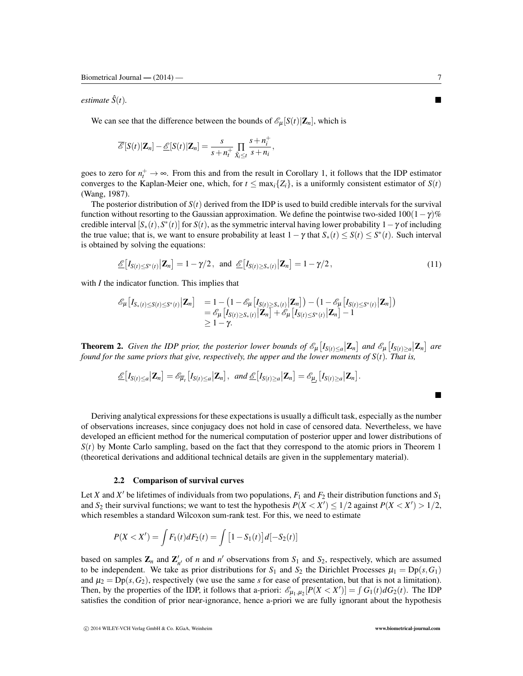*estimate*  $\hat{S}(t)$ *.* 

We can see that the difference between the bounds of  $\mathscr{E}_{\mu}[S(t)|\mathbf{Z}_n]$ , which is

$$
\overline{\mathscr{E}}[S(t)|\mathbf{Z}_n]-\underline{\mathscr{E}}[S(t)|\mathbf{Z}_n]=\frac{s}{s+n_t^+}\prod_{\tilde{X}_i\leq t}\frac{s+n_i^+}{s+n_i},
$$

goes to zero for  $n_t^+ \to \infty$ . From this and from the result in Corollary 1, it follows that the IDP estimator converges to the Kaplan-Meier one, which, for  $t \le \max_i \{Z_i\}$ , is a uniformly consistent estimator of  $S(t)$ (Wang, 1987).

The posterior distribution of  $S(t)$  derived from the IDP is used to build credible intervals for the survival function without resorting to the Gaussian approximation. We define the pointwise two-sided  $100(1-\gamma)\%$ credible interval  $[S_*(t), S^*(t)]$  for  $S(t)$ , as the symmetric interval having lower probability 1 –  $\gamma$  of including the true value; that is, we want to ensure probability at least  $1 - \gamma$  that  $S_*(t) \leq S(t) \leq S^*(t)$ . Such interval is obtained by solving the equations:

$$
\underline{\mathscr{E}}\big[I_{S(t)\leq S^*(t)}\big|\mathbf{Z}_n\big] = 1 - \gamma/2\,, \text{ and } \underline{\mathscr{E}}\big[I_{S(t)\geq S_*(t)}\big|\mathbf{Z}_n\big] = 1 - \gamma/2\,,\tag{11}
$$

with *I* the indicator function. This implies that

$$
\begin{array}{ll} \mathscr{E}_{\mu}\left[I_{S_*(t)\leq S(t)\leq S^*(t)}\big|\mathbf{Z}_n\right] &= 1-\left(1-\mathscr{E}_{\mu}\left[I_{S(t)\geq S_*(t)}\big|\mathbf{Z}_n\right]\right)-\left(1-\mathscr{E}_{\mu}\left[I_{S(t)\leq S^*(t)}\big|\mathbf{Z}_n\right]\right) \\ &= \mathscr{E}_{\mu}\left[I_{S(t)\geq S_*(t)}\big|\mathbf{Z}_n\right]+\mathscr{E}_{\mu}\left[I_{S(t)\leq S^*(t)}\big|\mathbf{Z}_n\right]-1 \\ &\geq 1-\gamma.\end{array}
$$

**Theorem 2.** Given the IDP prior, the posterior lower bounds of  $\mathcal{E}_{\mu}[I_{S(t) \leq a}|\mathbf{Z}_n]$  and  $\mathcal{E}_{\mu}[I_{S(t) \geq a}|\mathbf{Z}_n]$  are *found for the same priors that give, respectively, the upper and the lower moments of S*(*t*)*. That is,*

$$
\underline{\mathscr{E}}[I_{S(t)\leq a}|\mathbf{Z}_n]=\mathscr{E}_{\overline{\mu}_t}[I_{S(t)\leq a}|\mathbf{Z}_n], \ \ and \underline{\mathscr{E}}[I_{S(t)\geq a}|\mathbf{Z}_n]=\mathscr{E}_{\underline{\mu}_t}[I_{S(t)\geq a}|\mathbf{Z}_n].
$$

Deriving analytical expressions for these expectations is usually a difficult task, especially as the number of observations increases, since conjugacy does not hold in case of censored data. Nevertheless, we have developed an efficient method for the numerical computation of posterior upper and lower distributions of  $S(t)$  by Monte Carlo sampling, based on the fact that they correspond to the atomic priors in Theorem 1 (theoretical derivations and additional technical details are given in the supplementary material).

### 2.2 Comparison of survival curves

Let *X* and *X'* be lifetimes of individuals from two populations,  $F_1$  and  $F_2$  their distribution functions and  $S_1$ and  $S_2$  their survival functions; we want to test the hypothesis  $P(X < X') \leq 1/2$  against  $P(X < X') > 1/2$ , which resembles a standard Wilcoxon sum-rank test. For this, we need to estimate

$$
P(X < X') = \int F_1(t) dF_2(t) = \int [1 - S_1(t)] d[-S_2(t)]
$$

based on samples  $\mathbf{Z}_n$  and  $\mathbf{Z}'_{n'}$  of *n* and *n'* observations from  $S_1$  and  $S_2$ , respectively, which are assumed to be independent. We take as prior distributions for  $S_1$  and  $S_2$  the Dirichlet Processes  $\mu_1 = \text{Dp}(s, G_1)$ and  $\mu_2 = \text{D}p(s, G_2)$ , respectively (we use the same *s* for ease of presentation, but that is not a limitation). Then, by the properties of the IDP, it follows that a-priori:  $\mathcal{E}_{\mu_1,\mu_2}[P(X < X')] = \int G_1(t) dG_2(t)$ . The IDP satisfies the condition of prior near-ignorance, hence a-priori we are fully ignorant about the hypothesis

 $\blacksquare$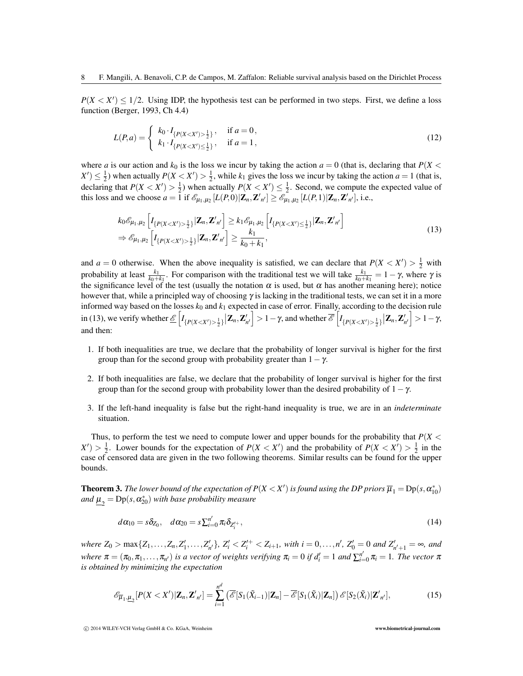$P(X \leq X') \leq 1/2$ . Using IDP, the hypothesis test can be performed in two steps. First, we define a loss function (Berger, 1993, Ch 4.4)

$$
L(P,a) = \begin{cases} k_0 \cdot I_{\{P(X < X') > \frac{1}{2}\}} & \text{if } a = 0, \\ k_1 \cdot I_{\{P(X < X') \le \frac{1}{2}\}} & \text{if } a = 1, \end{cases} \tag{12}
$$

where *a* is our action and  $k_0$  is the loss we incur by taking the action  $a = 0$  (that is, declaring that  $P(X \leq$  $(X') \leq \frac{1}{2}$ ) when actually  $P(X < X') > \frac{1}{2}$ , while  $k_1$  gives the loss we incur by taking the action *a* = 1 (that is, declaring that  $P(X < X') > \frac{1}{2}$  when actually  $P(X < X') \leq \frac{1}{2}$ . Second, we compute the expected value of this loss and we choose  $a = \overline{1}$  if  $\mathcal{E}_{\mu_1,\mu_2}[L(P,0)|\mathbf{Z}_n,\mathbf{Z}_{n'}'] \ge \mathcal{E}_{\mu_1,\mu_2}[L(P,1)|\mathbf{Z}_n,\mathbf{Z}_{n'}'],$  i.e.,

$$
k_0 \mathcal{E}_{\mu_1, \mu_2} \left[ I_{\{P(X < X') > \frac{1}{2}\}} | \mathbf{Z}_n, \mathbf{Z'}_{n'} \right] \geq k_1 \mathcal{E}_{\mu_1, \mu_2} \left[ I_{\{P(X < X') \leq \frac{1}{2}\}} | \mathbf{Z}_n, \mathbf{Z'}_{n'} \right] \\
 \Rightarrow \mathcal{E}_{\mu_1, \mu_2} \left[ I_{\{P(X < X') > \frac{1}{2}\}} | \mathbf{Z}_n, \mathbf{Z'}_{n'} \right] \geq \frac{k_1}{k_0 + k_1},
$$
\n(13)

and  $a = 0$  otherwise. When the above inequality is satisfied, we can declare that  $P(X < X') > \frac{1}{2}$  with probability at least  $\frac{k_1}{k_0 + k_1}$ . For comparison with the traditional test we will take  $\frac{k_1}{k_0 + k_1} = 1 - \gamma$ , where  $\gamma$  is the significance level of the test (usually the notation  $\alpha$  is used, but  $\alpha$  has another meaning here); notice however that, while a principled way of choosing  $\gamma$  is lacking in the traditional tests, we can set it in a more informed way based on the losses  $k_0$  and  $k_1$  expected in case of error. Finally, according to the decision rule in (13), we verify whether  $\underline{\mathscr{E}}\left[I_{\{P(X\frac{1}{2}\}}|\mathbf{Z}_n,\mathbf{Z}_{n'}'\right]>1-\gamma$ , and whether  $\overline{\mathscr{E}}\left[I_{\{P(X\frac{1}{2}\}}|\mathbf{Z}_n,\mathbf{Z}_{n'}'\right]>1-\gamma$ , and then:

- 1. If both inequalities are true, we declare that the probability of longer survival is higher for the first group than for the second group with probability greater than  $1-\gamma$ .
- 2. If both inequalities are false, we declare that the probability of longer survival is higher for the first group than for the second group with probability lower than the desired probability of  $1 - γ$ .
- 3. If the left-hand inequality is false but the right-hand inequality is true, we are in an *indeterminate* situation.

Thus, to perform the test we need to compute lower and upper bounds for the probability that  $P(X \leq \mathbb{R})$  $X'$  >  $\frac{1}{2}$ . Lower bounds for the expectation of *P*(*X* < *X'*) and the probability of *P*(*X* < *X'*) >  $\frac{1}{2}$  in the case of censored data are given in the two following theorems. Similar results can be found for the upper bounds.

**Theorem 3.** The lower bound of the expectation of  $P(X < X')$  is found using the DP priors  $\overline{\mu}_1 = Dp(s, \alpha_{10}^*)$ and  $\underline{\mu}_2 = \text{Dp}(s, \alpha_{20}^*)$  *with base probability measure* 

$$
d\alpha_{10} = s\delta_{Z_0}, \quad d\alpha_{20} = s\sum_{i=0}^{n'} \pi_i \delta_{Z_i^{i+}}, \tag{14}
$$

where  $Z_0 > \max\{Z_1,\ldots,Z_n,Z'_1,\ldots,Z'_{n'}\}$ ,  $Z'_i < Z'^{+}_i < Z_{i+1}$ , with  $i = 0,\ldots,n'$ ,  $Z'_0 = 0$  and  $Z'_{n'+1} = \infty$ , and *where*  $\pi = (\pi_0, \pi_1, \ldots, \pi_{n'})$  *is a vector of weights verifying*  $\pi_i = 0$  *if*  $d'_i = 1$  *and*  $\sum_{i=0}^{n'} \pi_i = 1$ *. The vector*  $\pi$ *is obtained by minimizing the expectation*

$$
\mathcal{E}_{\overline{\mu}_1,\underline{\mu}_2}[P(X < X')|\mathbf{Z}_n,\mathbf{Z'}_{n'}] = \sum_{i=1}^{n^d} \left( \overline{\mathcal{E}}[S_1(\tilde{X}_{i-1})|\mathbf{Z}_n] - \overline{\mathcal{E}}[S_1(\tilde{X}_i)|\mathbf{Z}_n] \right) \mathcal{E}[S_2(\tilde{X}_i)|\mathbf{Z'}_{n'}],
$$
(15)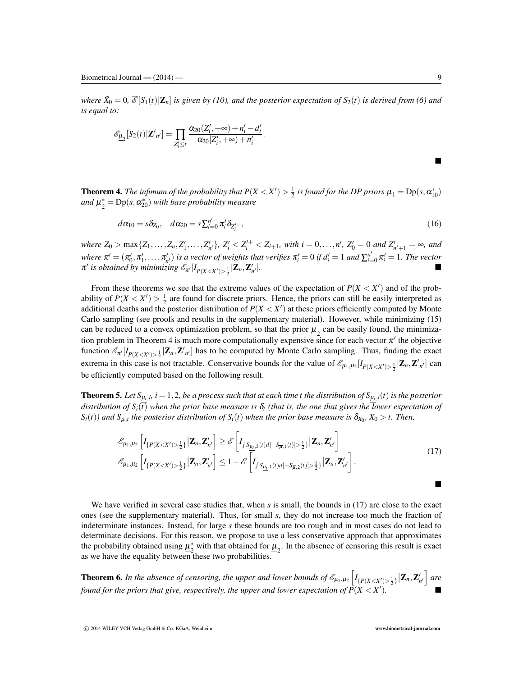where  $\tilde{X}_0 = 0$ ,  $\overline{\mathscr{E}}[S_1(t)|\mathbf{Z}_n]$  is given by (10), and the posterior expectation of  $S_2(t)$  is derived from (6) and *is equal to:*

$$
\mathscr{E}_{\underline{\mu}_2}[S_2(t)|\mathbf{Z'}_{n'}] = \prod_{Z'_i \leq t} \frac{\alpha_{20}(Z'_i, +\infty) + n'_i - d'_i}{\alpha_{20}[Z'_i, +\infty) + n'_i}.
$$

**Theorem 4.** The infimum of the probability that  $P(X < X') > \frac{1}{2}$  is found for the DP priors  $\overline{\mu}_1 = Dp(s, \alpha_{10}^*)$ and  $\mu^*$ <sub>2</sub>  $\chi_2^* = \text{Dp}(s, \alpha_{20}^*)$  with base probability measure

$$
d\alpha_{10} = s\delta_{Z_0}, \quad d\alpha_{20} = s\sum_{i=0}^{n'} \pi'_i \delta_{Z_i^{i+}}, \tag{16}
$$

where  $Z_0 > \max\{Z_1,\ldots,Z_n,Z'_1,\ldots,Z'_{n'}\}$ ,  $Z'_i < Z'^{+}_i < Z_{i+1}$ , with  $i = 0,\ldots,n'$ ,  $Z'_0 = 0$  and  $Z'_{n'+1} = \infty$ , and where  $\pi'=(\pi'_0,\pi'_1,\ldots,\pi'_{n'})$  is a vector of weights that verifies  $\pi'_i=0$  if  $d'_i=1$  and  $\sum_{i=0}^{n'}\pi'_i=1.$  The vector  $\pi'$  is obtained by minimizing  $\mathscr{E}_{\pi'}[I_{P(X\frac{1}{2}}|\mathbf{Z}_n,\mathbf{Z}'_{n'}].$ 

From these theorems we see that the extreme values of the expectation of  $P(X < X')$  and of the probability of  $P(X < X') > \frac{1}{2}$  are found for discrete priors. Hence, the priors can still be easily interpreted as additional deaths and the posterior distribution of  $P(X < X')$  at these priors efficiently computed by Monte Carlo sampling (see proofs and results in the supplementary material). However, while minimizing (15) can be reduced to a convex optimization problem, so that the prior  $\underline{\mu}_{2}$  can be easily found, the minimization problem in Theorem 4 is much more computationally expensive since for each vector  $\pi'$  the objective function  $\mathcal{E}_{\pi'}[I_{P(X\frac{1}{2}}|\mathbf{Z}_n,\mathbf{Z'}_{n'}]$  has to be computed by Monte Carlo sampling. Thus, finding the exact extrema in this case is not tractable. Conservative bounds for the value of  $\mathcal{E}_{\mu_1,\mu_2}[I_{P(X\frac{1}{2}}|\mathbf{Z}_n,\mathbf{Z'}_{n'}]$  can be efficiently computed based on the following result.

**Theorem 5.** Let  $S_{\mu_t,i}$ ,  $i=1,2$ , be a process such that at each time t the distribution of  $S_{\mu_t,i}(t)$  is the posterior *distribution of*  $S_i(t)$  *when the prior base measure is*  $\delta_i$  *(that is, the one that gives the lower expectation of*  $S_i(t)$ ) and  $S_{\overline{\mu},i}$  the posterior distribution of  $S_i(t)$  when the prior base measure is  $\delta_{X_0}, X_0 > t$ . Then,

$$
\mathcal{E}_{\mu_1,\mu_2} \left[ I_{\{P(X\frac{1}{2}\}} | \mathbf{Z}_n, \mathbf{Z}'_{n'} \right] \geq \mathcal{E} \left[ I_{\{S_{\underline{\mu}_1,2}(t)d[-S_{\overline{\mu},1}(t)]>\frac{1}{2}\}} | \mathbf{Z}_n, \mathbf{Z}'_{n'} \right]
$$
\n
$$
\mathcal{E}_{\mu_1,\mu_2} \left[ I_{\{P(X\frac{1}{2}\}} | \mathbf{Z}_n, \mathbf{Z}'_{n'} \right] \leq 1 - \mathcal{E} \left[ I_{\{S_{\underline{\mu}_1,1}(t)d[-S_{\overline{\mu},2}(t)]>\frac{1}{2}\}} | \mathbf{Z}_n, \mathbf{Z}'_{n'} \right].
$$
\n(17)

We have verified in several case studies that, when *s* is small, the bounds in (17) are close to the exact ones (see the supplementary material). Thus, for small *s*, they do not increase too much the fraction of indeterminate instances. Instead, for large *s* these bounds are too rough and in most cases do not lead to determinate decisions. For this reason, we propose to use a less conservative approach that approximates the probability obtained using  $\mu_2^*$ with that obtained for  $\underline{\mu}_2$ . In the absence of censoring this result is exact as we have the equality between these two probabilities.

**Theorem 6.** In the absence of censoring, the upper and lower bounds of  $\mathscr{E}_{\mu_1,\mu_2}\left[I_{\{P(X\frac{1}{2}\}}\big|\mathbf{Z}_n,\mathbf{Z}_{n'}'\right]$  are found for the priors that give, respectively, the upper and lower expectation of  $\overline{P}(X < X'$ )*.*

 $\blacksquare$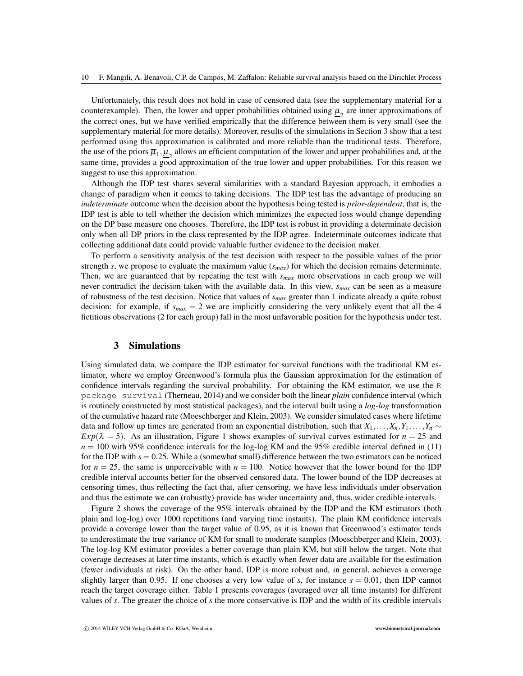Unfortunately, this result does not hold in case of censored data (see the supplementary material for a counterexample). Then, the lower and upper probabilities obtained using  $\mu_2$  are inner approximations of the correct ones, but we have verified empirically that the difference between them is very small (see the supplementary material for more details). Moreover, results of the simulations in Section 3 show that a test performed using this approximation is calibrated and more reliable than the traditional tests. Therefore, the use of the priors  $\overline{\mu}_1, \underline{\mu}_2$  allows an efficient computation of the lower and upper probabilities and, at the same time, provides a good approximation of the true lower and upper probabilities. For this reason we suggest to use this approximation.

Although the IDP test shares several similarities with a standard Bayesian approach, it embodies a change of paradigm when it comes to taking decisions. The IDP test has the advantage of producing an *indeterminate* outcome when the decision about the hypothesis being tested is *prior-dependent*, that is, the IDP test is able to tell whether the decision which minimizes the expected loss would change depending on the DP base measure one chooses. Therefore, the IDP test is robust in providing a determinate decision only when all DP priors in the class represented by the IDP agree. Indeterminate outcomes indicate that collecting additional data could provide valuable further evidence to the decision maker.

To perform a sensitivity analysis of the test decision with respect to the possible values of the prior strength *s*, we propose to evaluate the maximum value (*smax*) for which the decision remains determinate. Then, we are guaranteed that by repeating the test with *smax* more observations in each group we will never contradict the decision taken with the available data. In this view, *smax* can be seen as a measure of robustness of the test decision. Notice that values of *smax* greater than 1 indicate already a quite robust decision: for example, if  $s_{max} = 2$  we are implicitly considering the very unlikely event that all the 4 fictitious observations (2 for each group) fall in the most unfavorable position for the hypothesis under test.

### 3 Simulations

Using simulated data, we compare the IDP estimator for survival functions with the traditional KM estimator, where we employ Greenwood's formula plus the Gaussian approximation for the estimation of confidence intervals regarding the survival probability. For obtaining the KM estimator, we use the R package survival (Therneau, 2014) and we consider both the linear *plain* confidence interval (which is routinely constructed by most statistical packages), and the interval built using a *log-log* transformation of the cumulative hazard rate (Moeschberger and Klein, 2003). We consider simulated cases where lifetime data and follow up times are generated from an exponential distribution, such that  $X_1, \ldots, X_n, Y_1, \ldots, Y_n \sim$  $Exp(\lambda = 5)$ . As an illustration, Figure 1 shows examples of survival curves estimated for  $n = 25$  and  $n = 100$  with 95% confidence intervals for the log-log KM and the 95% credible interval defined in (11) for the IDP with *s* = 0.25. While a (somewhat small) difference between the two estimators can be noticed for  $n = 25$ , the same is unperceivable with  $n = 100$ . Notice however that the lower bound for the IDP credible interval accounts better for the observed censored data. The lower bound of the IDP decreases at censoring times, thus reflecting the fact that, after censoring, we have less individuals under observation and thus the estimate we can (robustly) provide has wider uncertainty and, thus, wider credible intervals.

Figure 2 shows the coverage of the 95% intervals obtained by the IDP and the KM estimators (both plain and log-log) over 1000 repetitions (and varying time instants). The plain KM confidence intervals provide a coverage lower than the target value of 0.95, as it is known that Greenwood's estimator tends to underestimate the true variance of KM for small to moderate samples (Moeschberger and Klein, 2003). The log-log KM estimator provides a better coverage than plain KM, but still below the target. Note that coverage decreases at later time instants, which is exactly when fewer data are available for the estimation (fewer individuals at risk). On the other hand, IDP is more robust and, in general, achieves a coverage slightly larger than 0.95. If one chooses a very low value of *s*, for instance  $s = 0.01$ , then IDP cannot reach the target coverage either. Table 1 presents coverages (averaged over all time instants) for different values of *s*. The greater the choice of *s* the more conservative is IDP and the width of its credible intervals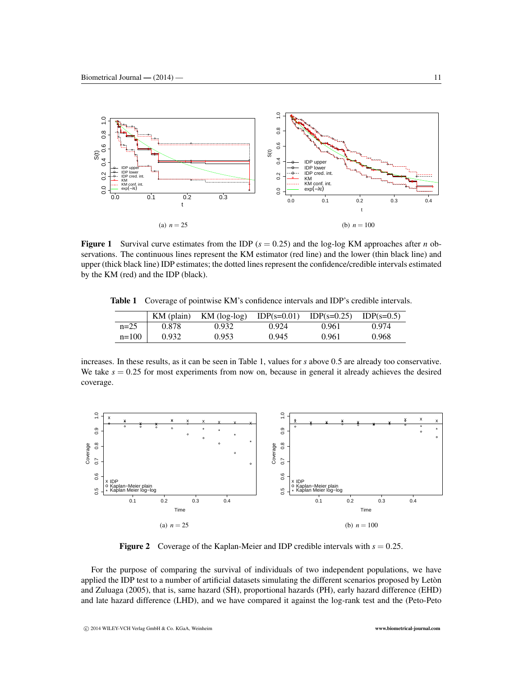

**Figure 1** Survival curve estimates from the IDP ( $s = 0.25$ ) and the log-log KM approaches after *n* observations. The continuous lines represent the KM estimator (red line) and the lower (thin black line) and upper (thick black line) IDP estimates; the dotted lines represent the confidence/credible intervals estimated by the KM (red) and the IDP (black).

Table 1 Coverage of pointwise KM's confidence intervals and IDP's credible intervals.

|         | KM (plain) | $KM$ (log-log) | $IDP(s=0.01)$ | $IDP(s=0.25)$ | IDP $(s=0.5)$ |
|---------|------------|----------------|---------------|---------------|---------------|
| $n=25$  | 0.878      | 0.932          | 0.924         | 0.961         | 0.974         |
| $n=100$ | 0.932      | 0.953          | 0.945         | 0.961         | 0.968         |

increases. In these results, as it can be seen in Table 1, values for *s* above 0.5 are already too conservative. We take  $s = 0.25$  for most experiments from now on, because in general it already achieves the desired coverage.



**Figure 2** Coverage of the Kaplan-Meier and IDP credible intervals with  $s = 0.25$ .

For the purpose of comparing the survival of individuals of two independent populations, we have applied the IDP test to a number of artificial datasets simulating the different scenarios proposed by Leton` and Zuluaga (2005), that is, same hazard (SH), proportional hazards (PH), early hazard difference (EHD) and late hazard difference (LHD), and we have compared it against the log-rank test and the (Peto-Peto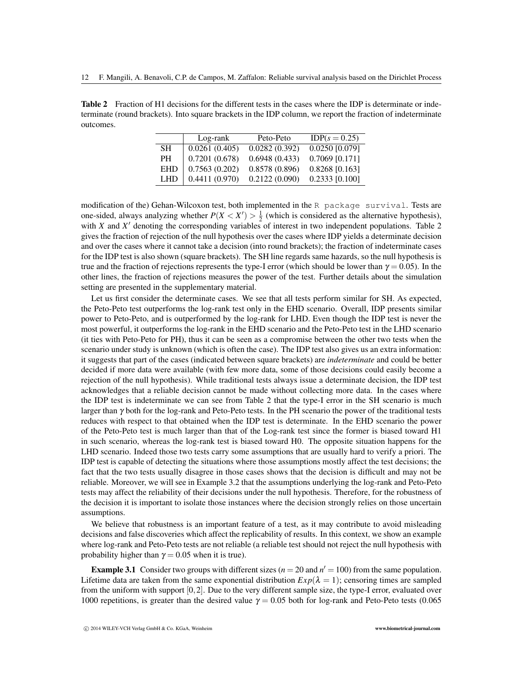Table 2 Fraction of H1 decisions for the different tests in the cases where the IDP is determinate or indeterminate (round brackets). Into square brackets in the IDP column, we report the fraction of indeterminate outcomes.

|            | Log-rank      | Peto-Peto     | $IDP(s = 0.25)$  |
|------------|---------------|---------------|------------------|
| <b>SH</b>  | 0.0261(0.405) | 0.0282(0.392) | $0.0250$ [0.079] |
| PH.        | 0.7201(0.678) | 0.6948(0.433) | $0.7069$ [0.171] |
| <b>EHD</b> | 0.7563(0.202) | 0.8578(0.896) | $0.8268$ [0.163] |
| LHD        | 0.4411(0.970) | 0.2122(0.090) | $0.2333$ [0.100] |

modification of the) Gehan-Wilcoxon test, both implemented in the R package survival. Tests are one-sided, always analyzing whether  $P(X < X') > \frac{1}{2}$  (which is considered as the alternative hypothesis), with  $X$  and  $X'$  denoting the corresponding variables of interest in two independent populations. Table 2 gives the fraction of rejection of the null hypothesis over the cases where IDP yields a determinate decision and over the cases where it cannot take a decision (into round brackets); the fraction of indeterminate cases for the IDP test is also shown (square brackets). The SH line regards same hazards, so the null hypothesis is true and the fraction of rejections represents the type-I error (which should be lower than  $\gamma = 0.05$ ). In the other lines, the fraction of rejections measures the power of the test. Further details about the simulation setting are presented in the supplementary material.

Let us first consider the determinate cases. We see that all tests perform similar for SH. As expected, the Peto-Peto test outperforms the log-rank test only in the EHD scenario. Overall, IDP presents similar power to Peto-Peto, and is outperformed by the log-rank for LHD. Even though the IDP test is never the most powerful, it outperforms the log-rank in the EHD scenario and the Peto-Peto test in the LHD scenario (it ties with Peto-Peto for PH), thus it can be seen as a compromise between the other two tests when the scenario under study is unknown (which is often the case). The IDP test also gives us an extra information: it suggests that part of the cases (indicated between square brackets) are *indeterminate* and could be better decided if more data were available (with few more data, some of those decisions could easily become a rejection of the null hypothesis). While traditional tests always issue a determinate decision, the IDP test acknowledges that a reliable decision cannot be made without collecting more data. In the cases where the IDP test is indeterminate we can see from Table 2 that the type-I error in the SH scenario is much larger than γ both for the log-rank and Peto-Peto tests. In the PH scenario the power of the traditional tests reduces with respect to that obtained when the IDP test is determinate. In the EHD scenario the power of the Peto-Peto test is much larger than that of the Log-rank test since the former is biased toward H1 in such scenario, whereas the log-rank test is biased toward H0. The opposite situation happens for the LHD scenario. Indeed those two tests carry some assumptions that are usually hard to verify a priori. The IDP test is capable of detecting the situations where those assumptions mostly affect the test decisions; the fact that the two tests usually disagree in those cases shows that the decision is difficult and may not be reliable. Moreover, we will see in Example 3.2 that the assumptions underlying the log-rank and Peto-Peto tests may affect the reliability of their decisions under the null hypothesis. Therefore, for the robustness of the decision it is important to isolate those instances where the decision strongly relies on those uncertain assumptions.

We believe that robustness is an important feature of a test, as it may contribute to avoid misleading decisions and false discoveries which affect the replicability of results. In this context, we show an example where log-rank and Peto-Peto tests are not reliable (a reliable test should not reject the null hypothesis with probability higher than  $\gamma = 0.05$  when it is true).

**Example 3.1** Consider two groups with different sizes ( $n = 20$  and  $n' = 100$ ) from the same population. Lifetime data are taken from the same exponential distribution  $Exp(\lambda = 1)$ ; censoring times are sampled from the uniform with support [0,2]. Due to the very different sample size, the type-I error, evaluated over 1000 repetitions, is greater than the desired value  $\gamma = 0.05$  both for log-rank and Peto-Peto tests (0.065)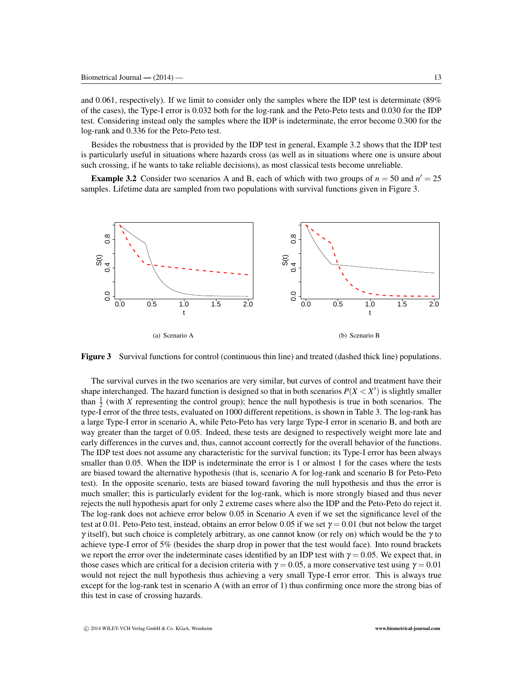and 0.061, respectively). If we limit to consider only the samples where the IDP test is determinate (89% of the cases), the Type-I error is 0.032 both for the log-rank and the Peto-Peto tests and 0.030 for the IDP test. Considering instead only the samples where the IDP is indeterminate, the error become 0.300 for the log-rank and 0.336 for the Peto-Peto test.

Besides the robustness that is provided by the IDP test in general, Example 3.2 shows that the IDP test is particularly useful in situations where hazards cross (as well as in situations where one is unsure about such crossing, if he wants to take reliable decisions), as most classical tests become unreliable.

**Example 3.2** Consider two scenarios A and B, each of which with two groups of  $n = 50$  and  $n' = 25$ samples. Lifetime data are sampled from two populations with survival functions given in Figure 3.



Figure 3 Survival functions for control (continuous thin line) and treated (dashed thick line) populations.

The survival curves in the two scenarios are very similar, but curves of control and treatment have their shape interchanged. The hazard function is designed so that in both scenarios  $P(X \le X')$  is slightly smaller than  $\frac{1}{2}$  (with *X* representing the control group); hence the null hypothesis is true in both scenarios. The type-I error of the three tests, evaluated on 1000 different repetitions, is shown in Table 3. The log-rank has a large Type-I error in scenario A, while Peto-Peto has very large Type-I error in scenario B, and both are way greater than the target of 0.05. Indeed, these tests are designed to respectively weight more late and early differences in the curves and, thus, cannot account correctly for the overall behavior of the functions. The IDP test does not assume any characteristic for the survival function; its Type-I error has been always smaller than 0.05. When the IDP is indeterminate the error is 1 or almost 1 for the cases where the tests are biased toward the alternative hypothesis (that is, scenario A for log-rank and scenario B for Peto-Peto test). In the opposite scenario, tests are biased toward favoring the null hypothesis and thus the error is much smaller; this is particularly evident for the log-rank, which is more strongly biased and thus never rejects the null hypothesis apart for only 2 extreme cases where also the IDP and the Peto-Peto do reject it. The log-rank does not achieve error below 0.05 in Scenario A even if we set the significance level of the test at 0.01. Peto-Peto test, instead, obtains an error below 0.05 if we set  $\gamma = 0.01$  (but not below the target  $γ$  itself), but such choice is completely arbitrary, as one cannot know (or rely on) which would be the γ to achieve type-I error of 5% (besides the sharp drop in power that the test would face). Into round brackets we report the error over the indeterminate cases identified by an IDP test with  $\gamma = 0.05$ . We expect that, in those cases which are critical for a decision criteria with  $\gamma = 0.05$ , a more conservative test using  $\gamma = 0.01$ would not reject the null hypothesis thus achieving a very small Type-I error error. This is always true except for the log-rank test in scenario A (with an error of 1) thus confirming once more the strong bias of this test in case of crossing hazards.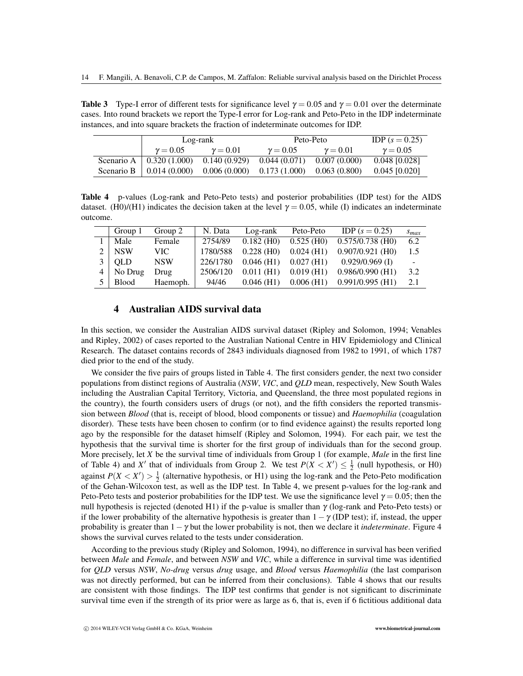Table 3 Type-I error of different tests for significance level  $\gamma = 0.05$  and  $\gamma = 0.01$  over the determinate cases. Into round brackets we report the Type-I error for Log-rank and Peto-Peto in the IDP indeterminate instances, and into square brackets the fraction of indeterminate outcomes for IDP.

|                 |                            | Log-rank     |                 | Peto-Peto       |                 |  |
|-----------------|----------------------------|--------------|-----------------|-----------------|-----------------|--|
| $\gamma = 0.05$ |                            | $v = 0.01$   | $\gamma = 0.05$ | $\gamma = 0.01$ | $\gamma = 0.05$ |  |
| Scenario A      | $\pm 0.320(1.000)$         | 0.140(0.929) | 0.044(0.071)    | 0.007(0.000)    | $0.048$ [0.028] |  |
| Scenario B      | $\vert 0.014(0.000) \vert$ | 0.006(0.000) | 0.173(1.000)    | 0.063(0.800)    | $0.045$ [0.020] |  |

Table 4 p-values (Log-rank and Peto-Peto tests) and posterior probabilities (IDP test) for the AIDS dataset. (H0)/(H1) indicates the decision taken at the level  $\gamma = 0.05$ , while (I) indicates an indeterminate outcome.

|   | Group 1    | Group 2    | N. Data  | Log-rank                  | Peto-Peto                 | IDP $(s = 0.25)$   | $S_{max}$                |
|---|------------|------------|----------|---------------------------|---------------------------|--------------------|--------------------------|
|   | Male       | Female     | 2754/89  | $0.182$ (H0)              | $0.525$ (H <sub>0</sub> ) | $0.575/0.738$ (H0) | 6.2                      |
|   | <b>NSW</b> | VIC-       | 1780/588 | $0.228$ (H <sub>0</sub> ) | $0.024$ (H1)              | $0.907/0.921$ (H0) | 1.5                      |
|   | <b>OLD</b> | <b>NSW</b> | 226/1780 | $0.046$ (H1)              | $0.027$ (H1)              | $0.929/0.969$ (I)  | $\overline{\phantom{a}}$ |
| 4 | No Drug    | Drug       | 2506/120 | $0.011$ (H1)              | $0.019$ (H1)              | $0.986/0.990$ (H1) | 3.2                      |
|   | Blood      | Haemoph.   | 94/46    | $0.046$ (H1)              | $0.006$ (H1)              | $0.991/0.995$ (H1) | 2.1                      |

## 4 Australian AIDS survival data

In this section, we consider the Australian AIDS survival dataset (Ripley and Solomon, 1994; Venables and Ripley, 2002) of cases reported to the Australian National Centre in HIV Epidemiology and Clinical Research. The dataset contains records of 2843 individuals diagnosed from 1982 to 1991, of which 1787 died prior to the end of the study.

We consider the five pairs of groups listed in Table 4. The first considers gender, the next two consider populations from distinct regions of Australia (*NSW*, *VIC*, and *QLD* mean, respectively, New South Wales including the Australian Capital Territory, Victoria, and Queensland, the three most populated regions in the country), the fourth considers users of drugs (or not), and the fifth considers the reported transmission between *Blood* (that is, receipt of blood, blood components or tissue) and *Haemophilia* (coagulation disorder). These tests have been chosen to confirm (or to find evidence against) the results reported long ago by the responsible for the dataset himself (Ripley and Solomon, 1994). For each pair, we test the hypothesis that the survival time is shorter for the first group of individuals than for the second group. More precisely, let *X* be the survival time of individuals from Group 1 (for example, *Male* in the first line of Table 4) and X' that of individuals from Group 2. We test  $P(X < X') \leq \frac{1}{2}$  (null hypothesis, or H0) against  $P(X < X') > \frac{1}{2}$  (alternative hypothesis, or H1) using the log-rank and the Peto-Peto modification of the Gehan-Wilcoxon test, as well as the IDP test. In Table 4, we present p-values for the log-rank and Peto-Peto tests and posterior probabilities for the IDP test. We use the significance level  $\gamma = 0.05$ ; then the null hypothesis is rejected (denoted H1) if the p-value is smaller than  $γ$  (log-rank and Peto-Peto tests) or if the lower probability of the alternative hypothesis is greater than  $1-\gamma$  (IDP test); if, instead, the upper probability is greater than  $1-\gamma$  but the lower probability is not, then we declare it *indeterminate*. Figure 4 shows the survival curves related to the tests under consideration.

According to the previous study (Ripley and Solomon, 1994), no difference in survival has been verified between *Male* and *Female*, and between *NSW* and *VIC*, while a difference in survival time was identified for *QLD* versus *NSW*, *No-drug* versus *drug* usage, and *Blood* versus *Haemophilia* (the last comparison was not directly performed, but can be inferred from their conclusions). Table 4 shows that our results are consistent with those findings. The IDP test confirms that gender is not significant to discriminate survival time even if the strength of its prior were as large as 6, that is, even if 6 fictitious additional data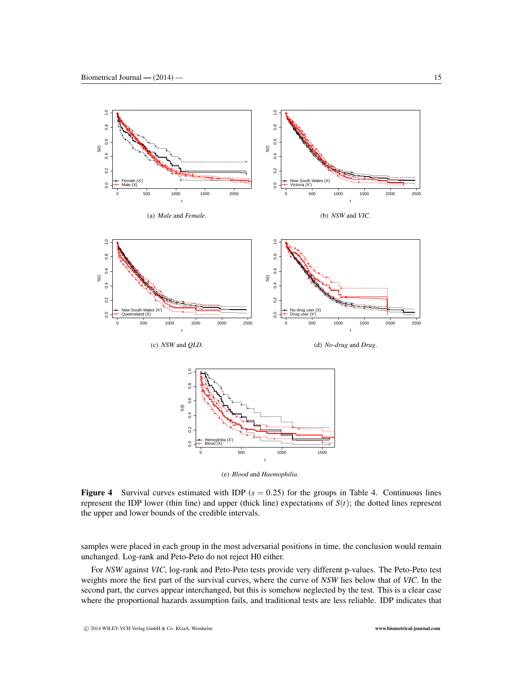

(e) *Blood* and *Haemophilia*.

**Figure 4** Survival curves estimated with IDP  $(s = 0.25)$  for the groups in Table 4. Continuous lines represent the IDP lower (thin line) and upper (thick line) expectations of  $S(t)$ ; the dotted lines represent the upper and lower bounds of the credible intervals.

samples were placed in each group in the most adversarial positions in time, the conclusion would remain unchanged. Log-rank and Peto-Peto do not reject H0 either.

For *NSW* against *VIC*, log-rank and Peto-Peto tests provide very different p-values. The Peto-Peto test weights more the first part of the survival curves, where the curve of *NSW* lies below that of *VIC*. In the second part, the curves appear interchanged, but this is somehow neglected by the test. This is a clear case where the proportional hazards assumption fails, and traditional tests are less reliable. IDP indicates that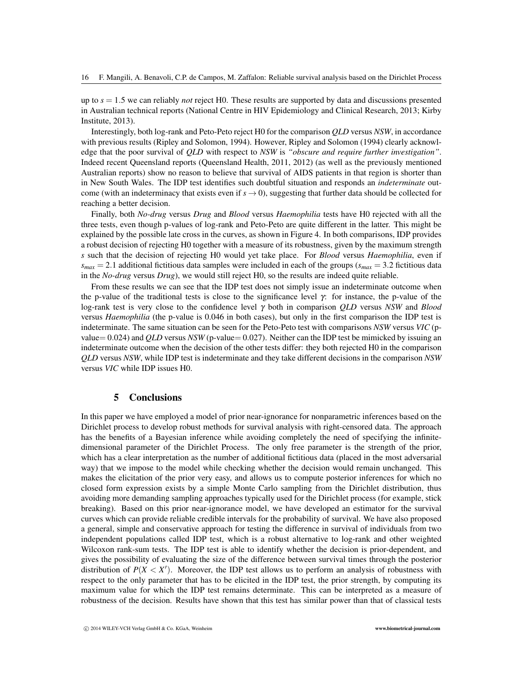up to *s* = 1.5 we can reliably *not* reject H0. These results are supported by data and discussions presented in Australian technical reports (National Centre in HIV Epidemiology and Clinical Research, 2013; Kirby Institute, 2013).

Interestingly, both log-rank and Peto-Peto reject H0 for the comparison *QLD* versus *NSW*, in accordance with previous results (Ripley and Solomon, 1994). However, Ripley and Solomon (1994) clearly acknowledge that the poor survival of *QLD* with respect to *NSW* is *"obscure and require further investigation"*. Indeed recent Queensland reports (Queensland Health, 2011, 2012) (as well as the previously mentioned Australian reports) show no reason to believe that survival of AIDS patients in that region is shorter than in New South Wales. The IDP test identifies such doubtful situation and responds an *indeterminate* outcome (with an indeterminacy that exists even if  $s \to 0$ ), suggesting that further data should be collected for reaching a better decision.

Finally, both *No-drug* versus *Drug* and *Blood* versus *Haemophilia* tests have H0 rejected with all the three tests, even though p-values of log-rank and Peto-Peto are quite different in the latter. This might be explained by the possible late cross in the curves, as shown in Figure 4. In both comparisons, IDP provides a robust decision of rejecting H0 together with a measure of its robustness, given by the maximum strength *s* such that the decision of rejecting H0 would yet take place. For *Blood* versus *Haemophilia*, even if  $s_{max} = 2.1$  additional fictitious data samples were included in each of the groups ( $s_{max} = 3.2$  fictitious data in the *No-drug* versus *Drug*), we would still reject H0, so the results are indeed quite reliable.

From these results we can see that the IDP test does not simply issue an indeterminate outcome when the p-value of the traditional tests is close to the significance level  $\gamma$ : for instance, the p-value of the log-rank test is very close to the confidence level γ both in comparison *QLD* versus *NSW* and *Blood* versus *Haemophilia* (the p-value is 0.046 in both cases), but only in the first comparison the IDP test is indeterminate. The same situation can be seen for the Peto-Peto test with comparisons *NSW* versus *VIC* (pvalue= 0.024) and *QLD* versus *NSW* (p-value= 0.027). Neither can the IDP test be mimicked by issuing an indeterminate outcome when the decision of the other tests differ: they both rejected H0 in the comparison *QLD* versus *NSW*, while IDP test is indeterminate and they take different decisions in the comparison *NSW* versus *VIC* while IDP issues H0.

### 5 Conclusions

In this paper we have employed a model of prior near-ignorance for nonparametric inferences based on the Dirichlet process to develop robust methods for survival analysis with right-censored data. The approach has the benefits of a Bayesian inference while avoiding completely the need of specifying the infinitedimensional parameter of the Dirichlet Process. The only free parameter is the strength of the prior, which has a clear interpretation as the number of additional fictitious data (placed in the most adversarial way) that we impose to the model while checking whether the decision would remain unchanged. This makes the elicitation of the prior very easy, and allows us to compute posterior inferences for which no closed form expression exists by a simple Monte Carlo sampling from the Dirichlet distribution, thus avoiding more demanding sampling approaches typically used for the Dirichlet process (for example, stick breaking). Based on this prior near-ignorance model, we have developed an estimator for the survival curves which can provide reliable credible intervals for the probability of survival. We have also proposed a general, simple and conservative approach for testing the difference in survival of individuals from two independent populations called IDP test, which is a robust alternative to log-rank and other weighted Wilcoxon rank-sum tests. The IDP test is able to identify whether the decision is prior-dependent, and gives the possibility of evaluating the size of the difference between survival times through the posterior distribution of  $P(X < X')$ . Moreover, the IDP test allows us to perform an analysis of robustness with respect to the only parameter that has to be elicited in the IDP test, the prior strength, by computing its maximum value for which the IDP test remains determinate. This can be interpreted as a measure of robustness of the decision. Results have shown that this test has similar power than that of classical tests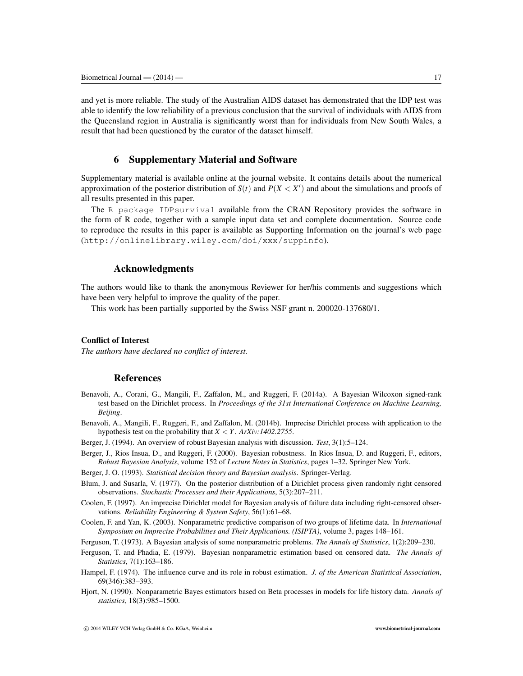and yet is more reliable. The study of the Australian AIDS dataset has demonstrated that the IDP test was able to identify the low reliability of a previous conclusion that the survival of individuals with AIDS from the Queensland region in Australia is significantly worst than for individuals from New South Wales, a result that had been questioned by the curator of the dataset himself.

### 6 Supplementary Material and Software

Supplementary material is available online at the journal website. It contains details about the numerical approximation of the posterior distribution of  $S(t)$  and  $P(X < X')$  and about the simulations and proofs of all results presented in this paper.

The R package IDPsurvival available from the CRAN Repository provides the software in the form of R code, together with a sample input data set and complete documentation. Source code to reproduce the results in this paper is available as Supporting Information on the journal's web page (http://onlinelibrary.wiley.com/doi/xxx/suppinfo).

### Acknowledgments

The authors would like to thank the anonymous Reviewer for her/his comments and suggestions which have been very helpful to improve the quality of the paper.

This work has been partially supported by the Swiss NSF grant n. 200020-137680/1.

### Conflict of Interest

*The authors have declared no conflict of interest.*

### References

- Benavoli, A., Corani, G., Mangili, F., Zaffalon, M., and Ruggeri, F. (2014a). A Bayesian Wilcoxon signed-rank test based on the Dirichlet process. In *Proceedings of the 31st International Conference on Machine Learning, Beijing*.
- Benavoli, A., Mangili, F., Ruggeri, F., and Zaffalon, M. (2014b). Imprecise Dirichlet process with application to the hypothesis test on the probability that *X* < *Y*. *ArXiv:1402.2755*.
- Berger, J. (1994). An overview of robust Bayesian analysis with discussion. *Test*, 3(1):5–124.
- Berger, J., Rios Insua, D., and Ruggeri, F. (2000). Bayesian robustness. In Rios Insua, D. and Ruggeri, F., editors, *Robust Bayesian Analysis*, volume 152 of *Lecture Notes in Statistics*, pages 1–32. Springer New York.

Berger, J. O. (1993). *Statistical decision theory and Bayesian analysis*. Springer-Verlag.

- Blum, J. and Susarla, V. (1977). On the posterior distribution of a Dirichlet process given randomly right censored observations. *Stochastic Processes and their Applications*, 5(3):207–211.
- Coolen, F. (1997). An imprecise Dirichlet model for Bayesian analysis of failure data including right-censored observations. *Reliability Engineering & System Safety*, 56(1):61–68.
- Coolen, F. and Yan, K. (2003). Nonparametric predictive comparison of two groups of lifetime data. In *International Symposium on Imprecise Probabilities and Their Applications. (ISIPTA)*, volume 3, pages 148–161.

Ferguson, T. (1973). A Bayesian analysis of some nonparametric problems. *The Annals of Statistics*, 1(2):209–230.

- Ferguson, T. and Phadia, E. (1979). Bayesian nonparametric estimation based on censored data. *The Annals of Statistics*, 7(1):163–186.
- Hampel, F. (1974). The influence curve and its role in robust estimation. *J. of the American Statistical Association*, 69(346):383–393.
- Hjort, N. (1990). Nonparametric Bayes estimators based on Beta processes in models for life history data. *Annals of statistics*, 18(3):985–1500.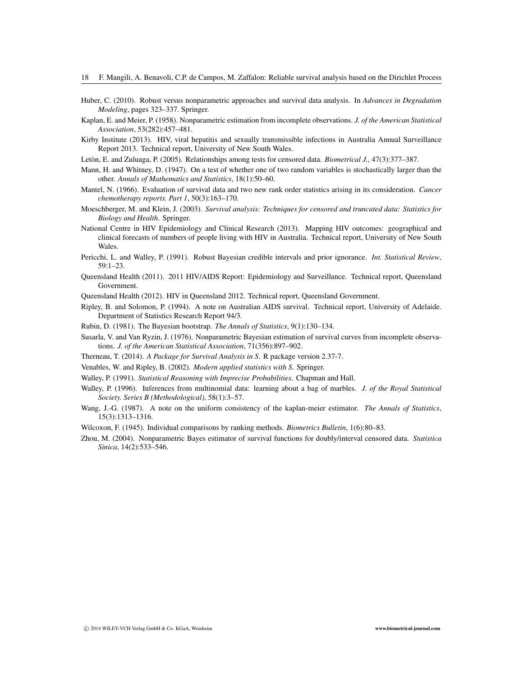- Huber, C. (2010). Robust versus nonparametric approaches and survival data analysis. In *Advances in Degradation Modeling*, pages 323–337. Springer.
- Kaplan, E. and Meier, P. (1958). Nonparametric estimation from incomplete observations. *J. of the American Statistical Association*, 53(282):457–481.
- Kirby Institute (2013). HIV, viral hepatitis and sexually transmissible infections in Australia Annual Surveillance Report 2013. Technical report, University of New South Wales.
- Leton, E. and Zuluaga, P. (2005). Relationships among tests for censored data. ` *Biometrical J.*, 47(3):377–387.
- Mann, H. and Whitney, D. (1947). On a test of whether one of two random variables is stochastically larger than the other. *Annals of Mathematics and Statistics*, 18(1):50–60.
- Mantel, N. (1966). Evaluation of survival data and two new rank order statistics arising in its consideration. *Cancer chemotherapy reports. Part 1*, 50(3):163–170.
- Moeschberger, M. and Klein, J. (2003). *Survival analysis: Techniques for censored and truncated data: Statistics for Biology and Health*. Springer.
- National Centre in HIV Epidemiology and Clinical Research (2013). Mapping HIV outcomes: geographical and clinical forecasts of numbers of people living with HIV in Australia. Technical report, University of New South Wales.
- Pericchi, L. and Walley, P. (1991). Robust Bayesian credible intervals and prior ignorance. *Int. Statistical Review*, 59:1–23.
- Queensland Health (2011). 2011 HIV/AIDS Report: Epidemiology and Surveillance. Technical report, Queensland Government.
- Queensland Health (2012). HIV in Queensland 2012. Technical report, Queensland Government.
- Ripley, B. and Solomon, P. (1994). A note on Australian AIDS survival. Technical report, University of Adelaide. Department of Statistics Research Report 94/3.
- Rubin, D. (1981). The Bayesian bootstrap. *The Annals of Statistics*, 9(1):130–134.
- Susarla, V. and Van Ryzin, J. (1976). Nonparametric Bayesian estimation of survival curves from incomplete observations. *J. of the American Statistical Association*, 71(356):897–902.
- Therneau, T. (2014). *A Package for Survival Analysis in S*. R package version 2.37-7.
- Venables, W. and Ripley, B. (2002). *Modern applied statistics with S*. Springer.
- Walley, P. (1991). *Statistical Reasoning with Imprecise Probabilities*. Chapman and Hall.
- Walley, P. (1996). Inferences from multinomial data: learning about a bag of marbles. *J. of the Royal Statistical Society. Series B (Methodological)*, 58(1):3–57.
- Wang, J.-G. (1987). A note on the uniform consistency of the kaplan-meier estimator. *The Annals of Statistics*, 15(3):1313–1316.
- Wilcoxon, F. (1945). Individual comparisons by ranking methods. *Biometrics Bulletin*, 1(6):80–83.
- Zhou, M. (2004). Nonparametric Bayes estimator of survival functions for doubly/interval censored data. *Statistica Sinica*, 14(2):533–546.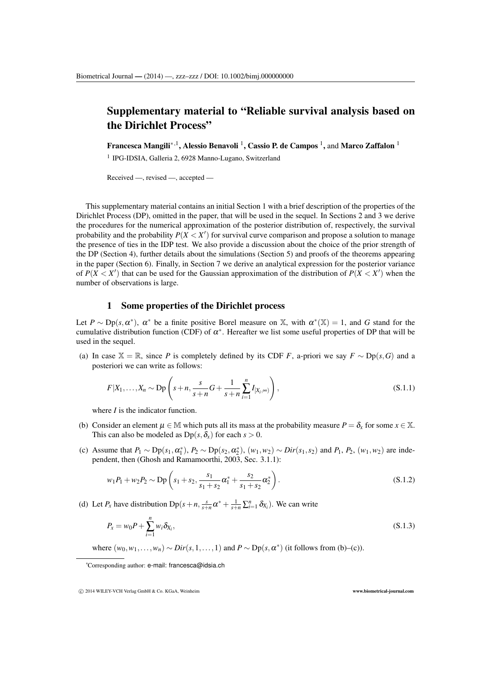# Supplementary material to "Reliable survival analysis based on the Dirichlet Process"

Francesca Mangili\*<sup>, 1</sup>, Alessio Benavoli <sup>1</sup>, Cassio P. de Campos <sup>1</sup>, and Marco Zaffalon <sup>1</sup>

1 IPG-IDSIA, Galleria 2, 6928 Manno-Lugano, Switzerland

Received —, revised —, accepted —

This supplementary material contains an initial Section 1 with a brief description of the properties of the Dirichlet Process (DP), omitted in the paper, that will be used in the sequel. In Sections 2 and 3 we derive the procedures for the numerical approximation of the posterior distribution of, respectively, the survival probability and the probability  $P(X < X')$  for survival curve comparison and propose a solution to manage the presence of ties in the IDP test. We also provide a discussion about the choice of the prior strength of the DP (Section 4), further details about the simulations (Section 5) and proofs of the theorems appearing in the paper (Section 6). Finally, in Section 7 we derive an analytical expression for the posterior variance of  $P(X < X')$  that can be used for the Gaussian approximation of the distribution of  $P(X < X')$  when the number of observations is large.

### 1 Some properties of the Dirichlet process

Let  $P \sim \text{Dp}(s, \alpha^*)$ ,  $\alpha^*$  be a finite positive Borel measure on X, with  $\alpha^*(X) = 1$ , and G stand for the cumulative distribution function (CDF) of  $\alpha^*$ . Hereafter we list some useful properties of DP that will be used in the sequel.

(a) In case  $X = \mathbb{R}$ , since *P* is completely defined by its CDF *F*, a-priori we say  $F \sim \text{Dp}(s, G)$  and a posteriori we can write as follows:

$$
F|X_1,...,X_n \sim \text{Dp}\left(s+n, \frac{s}{s+n}G + \frac{1}{s+n}\sum_{i=1}^n I_{[X_i,\infty)}\right),
$$
 (S.1.1)

where *I* is the indicator function.

- (b) Consider an element  $\mu \in \mathbb{M}$  which puts all its mass at the probability measure  $P = \delta_x$  for some  $x \in \mathbb{X}$ . This can also be modeled as  $Dp(s, \delta_x)$  for each  $s > 0$ .
- (c) Assume that  $P_1 \sim \text{Dp}(s_1, \alpha_1^*)$ ,  $P_2 \sim \text{Dp}(s_2, \alpha_2^*)$ ,  $(w_1, w_2) \sim Dir(s_1, s_2)$  and  $P_1$ ,  $P_2$ ,  $(w_1, w_2)$  are independent, then (Ghosh and Ramamoorthi, 2003, Sec. 3.1.1):

$$
w_1 P_1 + w_2 P_2 \sim \mathrm{Dp}\left(s_1 + s_2, \frac{s_1}{s_1 + s_2} \alpha_1^* + \frac{s_2}{s_1 + s_2} \alpha_2^*\right). \tag{S.1.2}
$$

(d) Let  $P_x$  have distribution  $Dp(s + n, \frac{s}{s+n}\alpha^* + \frac{1}{s+n}\sum_{i=1}^n \delta_{X_i})$ . We can write

$$
P_x = w_0 P + \sum_{i=1}^{n} w_i \delta_{X_i},
$$
\n(S.1.3)

where  $(w_0, w_1, \ldots, w_n) \sim Dir(s, 1, \ldots, 1)$  and  $P \sim \text{Dp}(s, \alpha^*)$  (it follows from (b)–(c)).

*<sup>∗</sup>*Corresponding author: e-mail: francesca@idsia.ch

*<sup>⃝</sup>*c 2014 WILEY-VCH Verlag GmbH & Co. KGaA, Weinheim www.biometrical-journal.com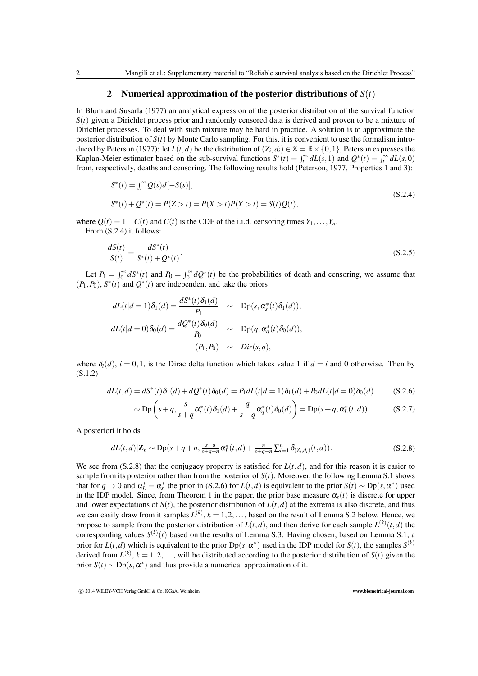# 2 Numerical approximation of the posterior distributions of  $S(t)$

In Blum and Susarla (1977) an analytical expression of the posterior distribution of the survival function *S*(*t*) given a Dirichlet process prior and randomly censored data is derived and proven to be a mixture of Dirichlet processes. To deal with such mixture may be hard in practice. A solution is to approximate the posterior distribution of *S*(*t*) by Monte Carlo sampling. For this, it is convenient to use the formalism introduced by Peterson (1977): let  $L(t, d)$  be the distribution of  $(Z_i, d_i) \in \mathbb{X} = \mathbb{R} \times \{0, 1\}$ , Peterson expresses the Kaplan-Meier estimator based on the sub-survival functions  $S^*(t) = \int_t^\infty dL(s, 1)$  and  $Q^*(t) = \int_t^\infty dL(s, 0)$ from, respectively, deaths and censoring. The following results hold (Peterson, 1977, Properties 1 and 3):

$$
S^*(t) = \int_t^{\infty} Q(s)d[-S(s)],
$$
\n(S.2.4)

$$
S^*(t) + Q^*(t) = P(Z > t) = P(X > t)P(Y > t) = S(t)Q(t),
$$

where  $Q(t) = 1 - C(t)$  and  $C(t)$  is the CDF of the i.i.d. censoring times  $Y_1, \ldots, Y_n$ . From (S.2.4) it follows:

$$
\frac{dS(t)}{S(t)} = \frac{dS^*(t)}{S^*(t) + Q^*(t)}.\tag{S.2.5}
$$

Let  $P_1 = \int_0^\infty dS^*(t)$  and  $P_0 = \int_0^\infty dQ^*(t)$  be the probabilities of death and censoring, we assume that  $(P_1, P_0)$ ,  $S^*(t)$  and  $Q^*(t)$  are independent and take the priors

$$
dL(t|d = 1)\delta_1(d) = \frac{dS^*(t)\delta_1(d)}{P_1} \sim \text{Dp}(s, \alpha_s^*(t)\delta_1(d)),
$$
  

$$
dL(t|d = 0)\delta_0(d) = \frac{dQ^*(t)\delta_0(d)}{P_0} \sim \text{Dp}(q, \alpha_q^*(t)\delta_0(d)),
$$
  

$$
(P_1, P_0) \sim Dir(s, q),
$$

where  $\delta_i(d)$ ,  $i = 0, 1$ , is the Dirac delta function which takes value 1 if  $d = i$  and 0 otherwise. Then by (S.1.2)

$$
dL(t,d) = dS^*(t)\delta_1(d) + dQ^*(t)\delta_0(d) = P_1 dL(t|d = 1)\delta_1(d) + P_0 dL(t|d = 0)\delta_0(d)
$$
 (S.2.6)

$$
\sim \mathop{\rm{Dp}}\left(s+q, \frac{s}{s+q}\alpha_s^*(t)\delta_1(d) + \frac{q}{s+q}\alpha_q^*(t)\delta_0(d)\right) = \mathop{\rm{Dp}}(s+q, \alpha_L^*(t,d)).\tag{S.2.7}
$$

A posteriori it holds

$$
dL(t,d)|\mathbf{Z}_n \sim \mathrm{Dp}(s+q+n, \frac{s+q}{s+q+n}\alpha_L^*(t,d) + \frac{n}{s+q+n}\sum_{i=1}^n \delta_{(Z_i,d_i)}(t,d)).\tag{S.2.8}
$$

We see from (S.2.8) that the conjugacy property is satisfied for  $L(t,d)$ , and for this reason it is easier to sample from its posterior rather than from the posterior of  $S(t)$ . Moreover, the following Lemma S.1 shows that for  $q \to 0$  and  $\alpha_L^* = \alpha_s^*$  the prior in (S.2.6) for  $L(t,d)$  is equivalent to the prior  $S(t) \sim Dp(s, \alpha^*)$  used in the IDP model. Since, from Theorem 1 in the paper, the prior base measure  $\alpha_s(t)$  is discrete for upper and lower expectations of  $S(t)$ , the posterior distribution of  $L(t,d)$  at the extrema is also discrete, and thus we can easily draw from it samples  $L^{(k)}$ ,  $k = 1, 2, \ldots$ , based on the result of Lemma S.2 below. Hence, we propose to sample from the posterior distribution of  $L(t,d)$ , and then derive for each sample  $L^{(k)}(t,d)$  the corresponding values *S* (*k*) (*t*) based on the results of Lemma S.3. Having chosen, based on Lemma S.1, a prior for  $L(t, d)$  which is equivalent to the prior  $Dp(s, \alpha^*)$  used in the IDP model for  $S(t)$ , the samples  $S^{(k)}$ derived from  $L^{(k)}$ ,  $k = 1, 2, \ldots$ , will be distributed according to the posterior distribution of  $S(t)$  given the prior  $S(t) \sim \text{Dp}(s, \alpha^*)$  and thus provide a numerical approximation of it.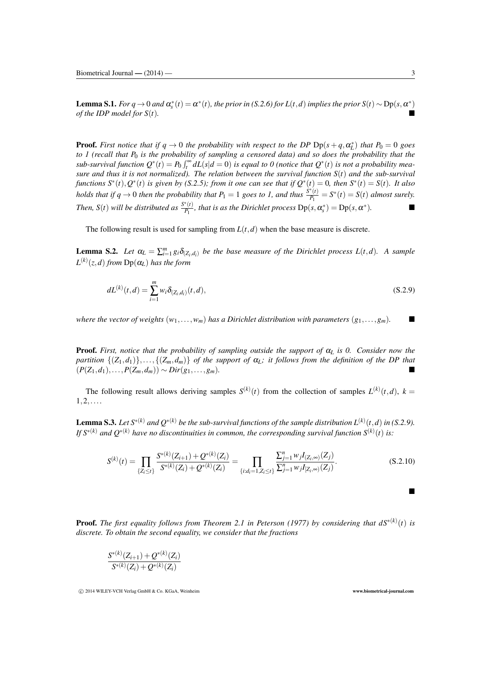**Lemma S.1.** For  $q \to 0$  and  $\alpha_s^*(t) = \alpha^*(t)$ , the prior in (S.2.6) for  $L(t,d)$  implies the prior  $S(t) \sim Dp(s, \alpha^*)$ *of the IDP model for S*(*t*)*.*

**Proof.** First notice that if  $q \to 0$  the probability with respect to the DP  $Dp(s + q, \alpha^*_{L})$  that  $P_0 = 0$  goes *to 1 (recall that P*<sup>0</sup> *is the probability of sampling a censored data) and so does the probability that the sub-survival function*  $Q^*(t) = P_0 \int_t^{\infty} dL(s|d=0)$  *is equal to 0 (notice that*  $Q^*(t)$  *is not a probability measure and thus it is not normalized). The relation between the survival function S*(*t*) *and the sub-survival* functions  $S^*(t)$ ,  $Q^*(t)$  is given by (S.2.5); from it one can see that if  $Q^*(t) = 0$ , then  $S^*(t) = S(t)$ . It also *holds that if*  $q \rightarrow 0$  *then the probability that*  $P_1 = 1$  *goes to 1, and thus*  $\frac{S^*(t)}{P_1}$  $\frac{f^{*}(t)}{P_1} = S^{*}(t) = S(t)$  *almost surely. Then, S*(*t*) *will be distributed as*  $\frac{S^*(t)}{P_t}$ *P*<sub>1</sub>, that is as the Dirichlet process  $Dp(s, \alpha_s^*) = Dp(s, \alpha^*)$ .

The following result is used for sampling from  $L(t, d)$  when the base measure is discrete.

**Lemma S.2.** Let  $\alpha_L = \sum_{i=1}^m g_i \delta_{(Z_i,d_i)}$  be the base measure of the Dirichlet process  $L(t,d)$ . A sample  $L^{(k)}(z,d)$  *from*  $Dp(\alpha_L)$  *has the form* 

$$
dL^{(k)}(t,d) = \sum_{i=1}^{m} w_i \delta_{(Z_i,d_i)}(t,d),
$$
\n(S.2.9)

*where the vector of weights*  $(w_1, \ldots, w_m)$  *has a Dirichlet distribution with parameters*  $(g_1, \ldots, g_m)$ .

Proof. *First, notice that the probability of sampling outside the support of* <sup>α</sup>*<sup>L</sup> is 0. Consider now the partition*  $\{(Z_1,d_1)\}\ldots,\{(Z_m,d_m)\}\$  *of the support of*  $\alpha_L$ ; *it follows from the definition of the DP that*  $(P(Z_1, d_1), \ldots, P(Z_m, d_m)) \sim Dir(g_1, \ldots, g_m).$ 

The following result allows deriving samples  $S^{(k)}(t)$  from the collection of samples  $L^{(k)}(t,d)$ ,  $k =$ 1*,*2*,...*.

**Lemma S.3.** Let  $S^{*(k)}$  and  $Q^{*(k)}$  be the sub-survival functions of the sample distribution  $L^{(k)}(t, d)$  in (S.2.9). *If S∗*(*k*) *and Q∗*(*k*) *have no discontinuities in common, the corresponding survival function S*(*k*) (*t*) *is:*

$$
S^{(k)}(t) = \prod_{\{Z_i \le t\}} \frac{S^{*(k)}(Z_{i+1}) + Q^{*(k)}(Z_i)}{S^{*(k)}(Z_i) + Q^{*(k)}(Z_i)} = \prod_{\{i:d_i=1, Z_i \le t\}} \frac{\sum_{j=1}^n w_j I_{(Z_i, \infty)}(Z_j)}{\sum_{j=1}^n w_j I_{(Z_i, \infty)}(Z_j)}.
$$
(S.2.10)

Proof. *The first equality follows from Theorem 2.1 in Peterson (1977) by considering that dS∗*(*k*) (*t*) *is discrete. To obtain the second equality, we consider that the fractions*

$$
\frac{S^{*(k)}(Z_{i+1}) + Q^{*(k)}(Z_i)}{S^{*(k)}(Z_i) + Q^{*(k)}(Z_i)}
$$

*⃝*c 2014 WILEY-VCH Verlag GmbH & Co. KGaA, Weinheim www.biometrical-journal.com

щ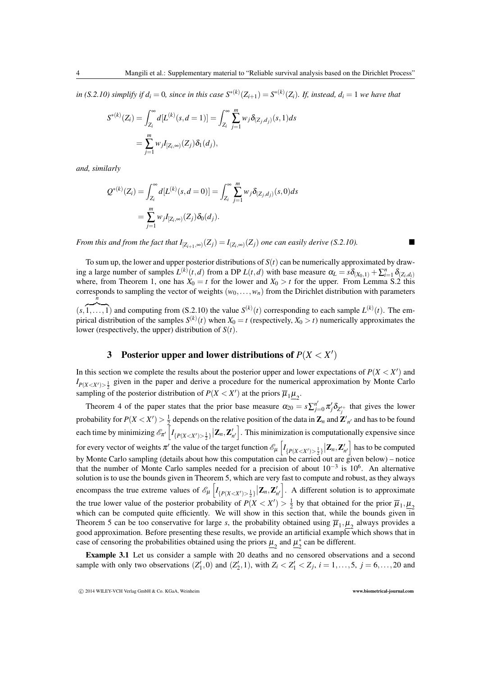*in* (S.2.10) simplify if  $d_i = 0$ , since in this case  $S^{*(k)}(Z_{i+1}) = S^{*(k)}(Z_i)$ . If, instead,  $d_i = 1$  we have that

$$
S^{*(k)}(Z_i) = \int_{Z_i}^{\infty} d[L^{(k)}(s, d = 1)] = \int_{Z_i}^{\infty} \sum_{j=1}^{m} w_j \delta_{(Z_j, d_j)}(s, 1) ds
$$
  
= 
$$
\sum_{j=1}^{m} w_j I_{[Z_i, \infty)}(Z_j) \delta_1(d_j),
$$

*and, similarly*

$$
Q^{*(k)}(Z_i) = \int_{Z_i}^{\infty} d[L^{(k)}(s, d=0)] = \int_{Z_i}^{\infty} \sum_{j=1}^{m} w_j \delta_{(Z_j, d_j)}(s, 0) ds
$$
  
= 
$$
\sum_{j=1}^{m} w_j I_{[Z_i, \infty)}(Z_j) \delta_0(d_j).
$$

*From this and from the fact that*  $I_{[Z_{i+1},\infty)}(Z_j) = I_{(Z_i,\infty)}(Z_j)$  *one can easily derive (S.2.10).* 

To sum up, the lower and upper posterior distributions of  $S(t)$  can be numerically approximated by drawing a large number of samples  $L^{(k)}(t,d)$  from a DP  $L(t,d)$  with base measure  $\alpha_L = s\delta_{(X_0,1)} + \sum_{i=1}^n \delta_{(Z_i,d_i)}$ where, from Theorem 1, one has  $X_0 = t$  for the lower and  $X_0 > t$  for the upper. From Lemma S.2 this corresponds to sampling the vector of weights  $(w_0, \ldots, w_n)$  from the Dirichlet distribution with parameters *n*

 $(s, \overline{1, \ldots, 1})$  and computing from (S.2.10) the value  $S^{(k)}(t)$  corresponding to each sample  $L^{(k)}(t)$ . The empirical distribution of the samples  $S^{(k)}(t)$  when  $X_0 = t$  (respectively,  $X_0 > t$ ) numerically approximates the lower (respectively, the upper) distribution of *S*(*t*).

# 3 Posterior upper and lower distributions of  $P(X < X')$

In this section we complete the results about the posterior upper and lower expectations of  $P(X < X')$  and  $I_{P(X \lt X') > \frac{1}{2}}$  given in the paper and derive a procedure for the numerical approximation by Monte Carlo sampling of the posterior distribution of  $P(X < X')$  at the priors  $\overline{\mu}_1 \underline{\mu}_2$ .

Theorem 4 of the paper states that the prior base measure  $\alpha_{20} = s \sum_{j=0}^{n'} \pi_j' \delta_{Z_j'}$  that gives the lower probability for  $P(X < X') > \frac{1}{2}$  depends on the relative position of the data in  $\mathbb{Z}_n$  and  $\mathbb{Z'}_{n'}$  and has to be found each time by minimizing  $\mathscr{E}_{\pi'}\left[I_{\{P(X\frac{1}{2}\}}|\mathbf{Z}_n,\mathbf{Z}'_{n'}\right]$ . This minimization is computationally expensive since for every vector of weights  $\pi'$  the value of the target function  $\mathscr{E}_{\mu}\left[I_{\{P(X\frac{1}{2}\}}\big|\mathbf{Z}_n,\mathbf{Z}_{n'}'\right]$  has to be computed by Monte Carlo sampling (details about how this computation can be carried out are given below) – notice that the number of Monte Carlo samples needed for a precision of about 10<sup>-3</sup> is 10<sup>6</sup>. An alternative solution is to use the bounds given in Theorem 5, which are very fast to compute and robust, as they always encompass the true extreme values of  $\mathscr{E}_{\mu}\left[I_{\{P(X\frac{1}{2}\}}|\mathbf{Z}_n,\mathbf{Z}'_{n'}\right]$ . A different solution is to approximate the true lower value of the posterior probability of  $P(X < X') > \frac{1}{2}$  by that obtained for the prior  $\overline{\mu}_1, \underline{\mu}_2$ which can be computed quite efficiently. We will show in this section that, while the bounds given in Theorem 5 can be too conservative for large *s*, the probability obtained using  $\overline{\mu}_1$ ,  $\underline{\mu}_2$  always provides a good approximation. Before presenting these results, we provide an artificial example which shows that in case of censoring the probabilities obtained using the priors  $\mu_2$  and  $\mu_2^*$  $i_2^*$  can be different.

Example 3.1 Let us consider a sample with 20 deaths and no censored observations and a second sample with only two observations  $(Z'_1, 0)$  and  $(Z'_2, 1)$ , with  $Z_i < Z'_1 < Z_j$ ,  $i = 1, ..., 5$ ,  $j = 6, ..., 20$  and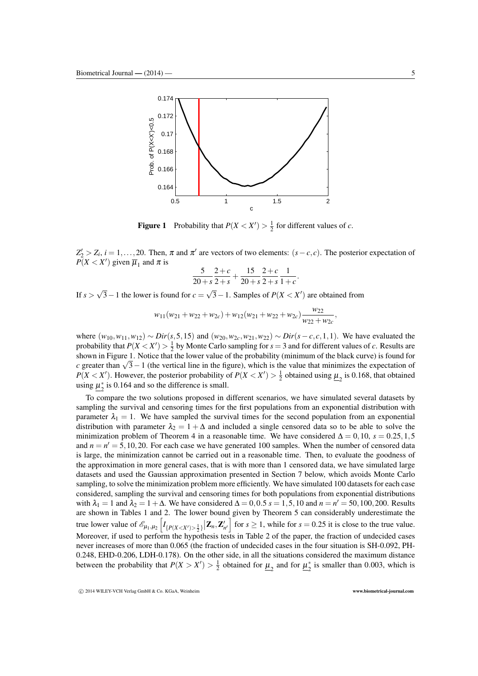

**Figure 1** Probability that  $P(X < X') > \frac{1}{2}$  for different values of *c*.

 $Z'_2 > Z_i$ ,  $i = 1, \ldots, 20$ . Then,  $\pi$  and  $\pi'$  are vectors of two elements:  $(s - c, c)$ . The posterior expectation of  $P(X < X')$  given  $\overline{\mu}_1$  and  $\pi$  is

$$
\frac{5}{20+s}\frac{2+c}{2+s} + \frac{15}{20+s}\frac{2+c}{2+s}\frac{1}{1+c}
$$

*.*

If *s > √* 3*−*1 the lower is found for *c* = *√* 3*−*1. Samples of *P*(*X < X ′* ) are obtained from

$$
w_{11}(w_{21} + w_{22} + w_{2c}) + w_{12}(w_{21} + w_{22} + w_{2c})\frac{w_{22}}{w_{22} + w_{2c}},
$$

where  $(w_{10}, w_{11}, w_{12}) \sim Dir(s, 5, 15)$  and  $(w_{20}, w_{2c}, w_{21}, w_{22}) \sim Dir(s-c, c, 1, 1)$ . We have evaluated the probability that  $P(X < X') > \frac{1}{2}$  by Monte Carlo sampling for  $s = 3$  and for different values of *c*. Results are shown in Figure 1. Notice that the lower value of the probability (minimum of the black curve) is found for shown in Figure 1. Notice that the lower value of the probability (infinituation of the black curve) is found for c greater than  $\sqrt{3}-1$  (the vertical line in the figure), which is the value that minimizes the expectatio  $P(X < X')$ . However, the posterior probability of  $P(X < X') > \frac{1}{2}$  obtained using  $\underline{\mu}_2$  is 0.168, that obtained using  $\mu^*$  $2 \times 10^2$  is 0.164 and so the difference is small.

To compare the two solutions proposed in different scenarios, we have simulated several datasets by sampling the survival and censoring times for the first populations from an exponential distribution with parameter  $\lambda_1 = 1$ . We have sampled the survival times for the second population from an exponential distribution with parameter  $\lambda_2 = 1 + \Delta$  and included a single censored data so to be able to solve the minimization problem of Theorem 4 in a reasonable time. We have considered  $\Delta = 0, 10, s = 0.25, 1, 5$ and  $n = n' = 5, 10, 20$ . For each case we have generated 100 samples. When the number of censored data is large, the minimization cannot be carried out in a reasonable time. Then, to evaluate the goodness of the approximation in more general cases, that is with more than 1 censored data, we have simulated large datasets and used the Gaussian approximation presented in Section 7 below, which avoids Monte Carlo sampling, to solve the minimization problem more efficiently. We have simulated 100 datasets for each case considered, sampling the survival and censoring times for both populations from exponential distributions with  $\lambda_1 = 1$  and  $\lambda_2 = 1 + \Delta$ . We have considered  $\Delta = 0, 0.5 \, s = 1, 5, 10$  and  $n = n' = 50, 100, 200$ . Results are shown in Tables 1 and 2. The lower bound given by Theorem 5 can considerably underestimate the true lower value of  $\mathscr{E}_{\mu_1,\mu_2}\left[I_{\{P(X\frac{1}{2}\}}|\mathbf{Z}_n,\mathbf{Z}_{n'}'\right]$  for  $s\geq 1$ , while for  $s=0.25$  it is close to the true value. Moreover, if used to perform the hypothesis tests in Table 2 of the paper, the fraction of undecided cases never increases of more than 0.065 (the fraction of undecided cases in the four situation is SH-0.092, PH-0.248, EHD-0.206, LDH-0.178). On the other side, in all the situations considered the maximum distance between the probability that  $P(X > X') > \frac{1}{2}$  obtained for  $\underline{\mu}_2$  and for  $\underline{\mu}_2^*$  $i_2^*$  is smaller than 0.003, which is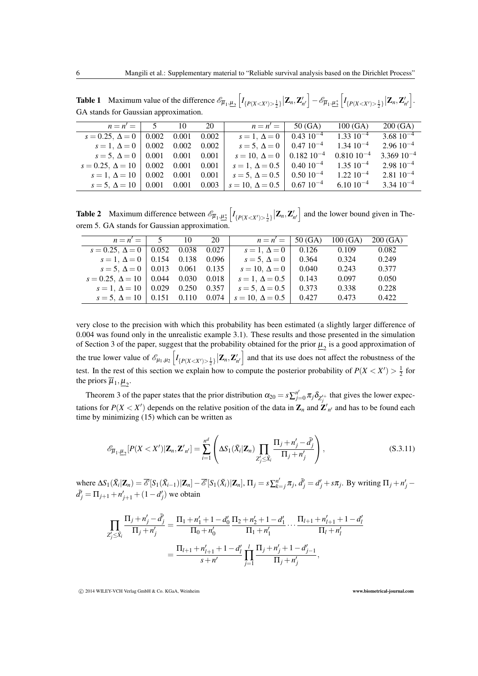**Table 1** Maximum value of the difference  $\mathscr{E}_{\overline{\mu}_1,\underline{\mu}_2} \left[ I_{\{P(X\frac{1}{2}\}} | \mathbf{Z}_n, \mathbf{Z}_{n'}' \right] - \mathscr{E}_{\overline{\mu}_1,\underline{\mu}_2^*} \left[ I_{\{P(X\frac{1}{2}\}} | \mathbf{Z}_n, \mathbf{Z}_{n'}' \right]$ . GA stands for Gaussian approximation.

| $n = n' = 5$                                   | - 10  | -20   | $n = n' = 1$                                   | 50(GA) | 100(GA)         | 200(GA)         |
|------------------------------------------------|-------|-------|------------------------------------------------|--------|-----------------|-----------------|
| $s = 0.25, \Delta = 0$   0.002 0.001 0.002     |       |       | $s = 1, \Delta = 0$   0.43 $10^{-4}$           |        | $1.33\ 10^{-4}$ | $3.68\ 10^{-4}$ |
| $s = 1, \Delta = 0$   0.002 0.002 0.002        |       |       | $s = 5, \Delta = 0 \mid 0.47 10^{-4}$          |        | $1.34\ 10^{-4}$ | $2.9610^{-4}$   |
| $s = 5, \Delta = 0$   0.001 0.001 0.001        |       |       | $s = 10, \Delta = 0$   0.182 $10^{-4}$         |        | $0.81010^{-4}$  | $3.36910^{-4}$  |
| $s = 0.25, \Delta = 10 \mid 0.002 \quad 0.001$ |       | 0.001 | $s = 1, \Delta = 0.5$   0.40 $10^{-4}$         |        | $1.35\ 10^{-4}$ | $2.9810^{-4}$   |
| $s = 1, \Delta = 10 \mid 0.002$                | 0.001 | 0.001 | $s = 5, \Delta = 0.5$   0.50 $10^{-4}$         |        | $1.22\ 10^{-4}$ | $2.8110^{-4}$   |
| $s = 5, \Delta = 10 \mid 0.001 \quad 0.001$    |       | 0.003 | $s = 10, \Delta = 0.5$   0.67 10 <sup>-4</sup> |        | $6.1010^{-4}$   | $3.3410^{-4}$   |

**Table 2** Maximum difference between  $\mathscr{E}_{\overline{\mu}_1,\underline{\mu}_2^*}\left[I_{\{P(X\frac{1}{2}\}}|\mathbf{Z}_n,\mathbf{Z}_{n'}'\right]$  and the lower bound given in Theorem 5. GA stands for Gaussian approximation.

| $n = n' = 1$                       | $\overline{5}$ | 10    | 20    | $n = n' =$             | 50(GA) | 100(GA) | 200(GA) |
|------------------------------------|----------------|-------|-------|------------------------|--------|---------|---------|
| $s = 0.25, \Delta = 0 \mid 0.052$  |                | 0.038 | 0.027 | $s=1, \Delta=0$        | 0.126  | 0.109   | 0.082   |
| $s = 1, \Delta = 0$   0.154        |                | 0.138 | 0.096 | $s=5, \Delta=0$        | 0.364  | 0.324   | 0.249   |
| $s = 5, \Delta = 0 \mid 0.013$     |                | 0.061 | 0.135 | $s=10, \Delta=0$       | 0.040  | 0.243   | 0.377   |
| $s = 0.25, \Delta = 10 \mid 0.044$ |                | 0.030 | 0.018 | $s = 1, \Delta = 0.5$  | 0.143  | 0.097   | 0.050   |
| $s = 1, \Delta = 10$               | 0.029          | 0.250 | 0.357 | $s = 5, \Delta = 0.5$  | 0.373  | 0.338   | 0.228   |
| $s = 5, \Delta = 10 \pm 0.151$     |                | 0.110 | 0.074 | $s = 10, \Delta = 0.5$ | 0.427  | 0.473   | 0.422   |

very close to the precision with which this probability has been estimated (a slightly larger difference of 0.004 was found only in the unrealistic example 3.1). These results and those presented in the simulation of Section 3 of the paper, suggest that the probability obtained for the prior  $\underline{\mu}_2$  is a good approximation of the true lower value of  $\mathscr{E}_{\mu_1,\mu_2}\left[I_{\{P(X\frac{1}{2}\}}|\mathbf{Z}_n,\mathbf{Z}_{n'}'\right]$  and that its use does not affect the robustness of the test. In the rest of this section we explain how to compute the posterior probability of  $P(X < X') > \frac{1}{2}$  for the priors  $\overline{\mu}_1, \underline{\mu}_2$ .

Theorem 3 of the paper states that the prior distribution  $\alpha_{20} = s \sum_{j=0}^{n'} \pi_j \delta_{Z_j'^+}$  that gives the lower expectations for  $P(X < X')$  depends on the relative position of the data in  $\mathbb{Z}_n$  and  $\mathbb{Z'}_{n'}$  and has to be found each time by minimizing (15) which can be written as

$$
\mathscr{E}_{\overline{\mu}_1,\underline{\mu}_2}[P(X < X')|\mathbf{Z}_n,\mathbf{Z'}_{n'}] = \sum_{i=1}^{n^d} \left( \Delta S_1(\tilde{X}_i|\mathbf{Z}_n) \prod_{\substack{\mathbf{Z}'_j \leq \tilde{X}_i}} \frac{\Pi_j + n'_j - \tilde{d}'_j}{\Pi_j + n'_j} \right),
$$
\n(S.3.11)

where  $\Delta S_1(\tilde{X}_i|\mathbf{Z}_n) = \overline{\mathcal{E}}[S_1(\tilde{X}_{i-1})|\mathbf{Z}_n] - \overline{\mathcal{E}}[S_1(\tilde{X}_i)|\mathbf{Z}_n], \Pi_j = s\sum_{k=1}^{n}$  $\int_{k=j}^{n'} \pi_j$ ,  $\tilde{d}'_j = d'_j + s\pi_j$ . By writing  $\Pi_j + n'_j - s$  $d^{\prime}$ <sup>*j*</sup> =  $\Pi$ <sub>*j*+1</sub> +  $n'$ <sub>*j*+1</sub> + (1 − *d'<sub>j</sub>*) we obtain

$$
\prod_{Z'_j \leq \bar{X}_i} \frac{\Pi_j + n'_j - \tilde{d}'_j}{\Pi_j + n'_j} = \frac{\Pi_1 + n'_1 + 1 - d'_0}{\Pi_0 + n'_0} \frac{\Pi_2 + n'_2 + 1 - d'_1}{\Pi_1 + n'_1} \cdots \frac{\Pi_{l+1} + n'_{l+1} + 1 - d'_l}{\Pi_l + n'_l}
$$

$$
= \frac{\Pi_{l+1} + n'_{l+1} + 1 - d'_l}{s + n'} \prod_{j=1}^l \frac{\Pi_j + n'_j + 1 - d'_{j-1}}{\Pi_j + n'_j},
$$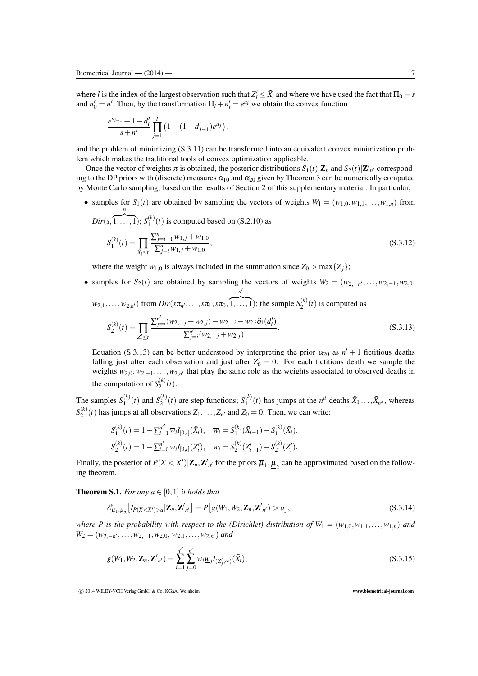where *l* is the index of the largest observation such that  $Z'_l \leq \tilde{X}_i$  and where we have used the fact that  $\Pi_0 = s$ and  $n'_0 = n'$ . Then, by the transformation  $\Pi_i + n'_i = e^{u_i}$  we obtain the convex function

$$
\frac{e^{u_{l+1}}+1-d'_l}{s+n'}\prod_{j=1}^l\left(1+(1-d'_{j-1})e^{u_j}\right),\,
$$

and the problem of minimizing (S.3.11) can be transformed into an equivalent convex minimization problem which makes the traditional tools of convex optimization applicable.

Once the vector of weights  $\pi$  is obtained, the posterior distributions  $S_1(t)|\mathbf{Z}_n$  and  $S_2(t)|\mathbf{Z'}_{n'}$  corresponding to the DP priors with (discrete) measures  $\alpha_{10}$  and  $\alpha_{20}$  given by Theorem 3 can be numerically computed by Monte Carlo sampling, based on the results of Section 2 of this supplementary material. In particular,

• samples for  $S_1(t)$  are obtained by sampling the vectors of weights  $W_1 = (w_{1,0}, w_{1,1}, \ldots, w_{1,n})$  from *n*

$$
Dir(s, \overbrace{1, \ldots, 1}^{(k)}); S_1^{(k)}(t) \text{ is computed based on (S.2.10) as}
$$
\n
$$
S_1^{(k)}(t) = \prod_{\bar{X}_i \le t} \frac{\sum_{j=i+1}^n w_{1,j} + w_{1,0}}{\sum_{j=i}^n w_{1,j} + w_{1,0}},
$$
\n(S.3.12)

where the weight  $w_{1,0}$  is always included in the summation since  $Z_0$  > max $\{Z_i\}$ ;

 $\bullet$  samples for *S*<sub>2</sub>(*t*) are obtained by sampling the vectors of weights  $W_2 = (w_{2,-n'}, \ldots, w_{2,-1}, w_{2,0},$ *n ′*

$$
w_{2,1}, \dots, w_{2,n'}) \text{ from } Dir(s\pi_{n'}, \dots, s\pi_1, s\pi_0, \overbrace{1, \dots, 1}^{n'}); \text{ the sample } S_2^{(k)}(t) \text{ is computed as}
$$
\n
$$
S_2^{(k)}(t) = \prod_{Z_i^j \le t} \frac{\sum_{j=i}^{n'} (w_{2,-j} + w_{2,j}) - w_{2,-i} - w_{2,i} \delta_1(d_i')}{\sum_{j=i}^{n'} (w_{2,-j} + w_{2,j})}.
$$
\n(S.3.13)

Equation (S.3.13) can be better understood by interpreting the prior  $\alpha_{20}$  as  $n' + 1$  fictitious deaths falling just after each observation and just after  $Z'_0 = 0$ . For each fictitious death we sample the weights  $w_{2,0}, w_{2,-1}, \ldots, w_{2,n'}$  that play the same role as the weights associated to observed deaths in the computation of  $S_2^{(k)}$  $2^{(\kappa)}(t).$ 

The samples  $S_1^{(k)}$  $S_1^{(k)}(t)$  and  $S_2^{(k)}$  $2^{(k)}(t)$  are step functions;  $S_1^{(k)}$  $\int_{1}^{(k)}(t)$  has jumps at the *n<sup>d</sup>* deaths  $\tilde{X}_1 \ldots, \tilde{X}_{n^d}$ , whereas  $S_2^{(k)}$  $Z_2^{(k)}(t)$  has jumps at all observations  $Z_1, \ldots, Z_{n'}$  and  $Z_0 = 0$ . Then, we can write:

$$
S_1^{(k)}(t) = 1 - \sum_{i=1}^{n^d} \overline{w}_i I_{[0,t]}(\tilde{X}_i), \quad \overline{w}_i = S_1^{(k)}(\tilde{X}_{i-1}) - S_1^{(k)}(\tilde{X}_i),
$$
  

$$
S_2^{(k)}(t) = 1 - \sum_{i=0}^{n^{\prime}} \underline{w}_i I_{[0,t]}(Z_i^{\prime}), \quad \underline{w}_i = S_2^{(k)}(Z_{i-1}^{\prime}) - S_2^{(k)}(Z_i^{\prime}).
$$

Finally, the posterior of  $P(X < X') | \mathbf{Z}_n, \mathbf{Z'}_{n'}$  for the priors  $\overline{\mu}_1, \underline{\mu}_2$  can be approximated based on the following theorem.

**Theorem S.1.** *For any*  $a \in [0,1]$  *it holds that* 

$$
\mathscr{E}_{\overline{\mu}_1,\underline{\mu}_2} \left[ I_{P(Xa} | \mathbf{Z}_n, \mathbf{Z'}_{n'} \right] = P \left[ g(W_1, W_2, \mathbf{Z}_n, \mathbf{Z'}_{n'}) > a \right],
$$
\n(S.3.14)

*where P is the probability with respect to the (Dirichlet) distribution of*  $W_1 = (w_{1,0}, w_{1,1}, \ldots, w_{1,n})$  *and*  $W_2 = (w_{2,-n'}, \ldots, w_{2,-1}, w_{2,0}, w_{2,1}, \ldots, w_{2,n'})$  and

$$
g(W_1, W_2, \mathbf{Z}_n, \mathbf{Z'}_{n'}) = \sum_{i=1}^{n^d} \sum_{j=0}^{n'} \overline{w}_i \underline{w}_j I_{(Z'_j, \infty)}(\tilde{X}_i),
$$
\n(S.3.15)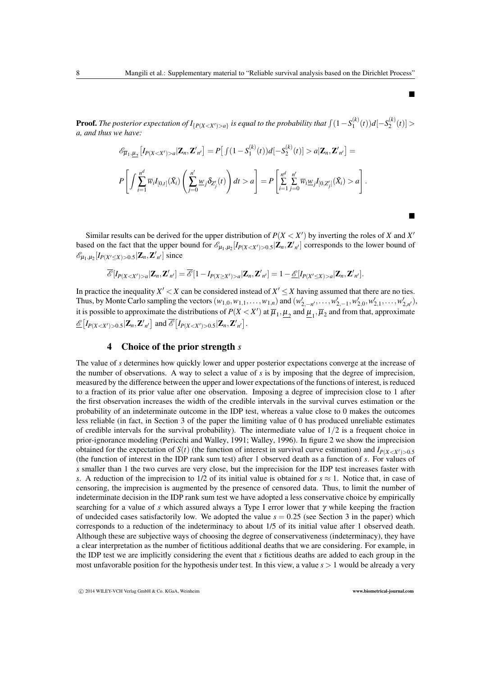**Proof.** The posterior expectation of  $I_{\{P(Xa\}}$  is equal to the probability that  $\int (1-S_1^{(k)})^2 dx$  $J_1^{(k)}(t)$ ) $d[-S_2^{(k)}]$  $\binom{k}{2}(t)$ ] > *a, and thus we have:*

$$
\mathcal{E}_{\overline{\mu}_1, \underline{\mu}_2} \left[ I_{P(X < X') > a} | \mathbf{Z}_n, \mathbf{Z'}_{n'} \right] = P \left[ \int (1 - S_1^{(k)}(t)) d \left[ -S_2^{(k)}(t) \right] > a | \mathbf{Z}_n, \mathbf{Z'}_{n'} \right] =
$$
  

$$
P \left[ \int \sum_{i=1}^{n^d} \overline{w}_i I_{[0,t]}(\tilde{X}_i) \left( \sum_{j=0}^{n'} \underline{w}_j \delta_{Z'_j}(t) \right) dt > a \right] = P \left[ \sum_{i=1}^{n^d} \sum_{j=0}^{n'} \overline{w}_i \underline{w}_j I_{[0,Z'_j]}(\tilde{X}_i) > a \right].
$$

Similar results can be derived for the upper distribution of  $P(X < X')$  by inverting the roles of *X* and *X'* based on the fact that the upper bound for  $\mathcal{E}_{\mu_1,\mu_2}[I_{P(X0.5}|\mathbf{Z}_n,\mathbf{Z'}_{n'}]$  corresponds to the lower bound of  $\mathscr{E}_{\mu_1,\mu_2}[I_{P(X' \le X)>0.5}|\mathbf{Z}_n,\mathbf{Z'}_{n'}]$  since

$$
\overline{\mathscr{E}}[I_{P(Xa}|\mathbf{Z}_n,\mathbf{Z'}_{n'}]=\overline{\mathscr{E}}[1-I_{P(X\geq X')>a}|\mathbf{Z}_n,\mathbf{Z'}_{n'}]=1-\underline{\mathscr{E}}[I_{P(X'\leq X)>a}|\mathbf{Z}_n,\mathbf{Z'}_{n'}].
$$

In practice the inequality  $X' < X$  can be considered instead of  $X' \leq X$  having assumed that there are no ties. Thus, by Monte Carlo sampling the vectors  $(w_{1,0}, w_{1,1}, \ldots, w_{1,n})$  and  $(w'_{2,-n'}, \ldots, w'_{2,-1}, w'_{2,0}, w'_{2,1}, \ldots, w'_{2,n'})$ it is possible to approximate the distributions of  $P(X < X')$  at  $\overline{\mu}_1, \underline{\mu}_2$  and  $\underline{\mu}_1, \overline{\mu}_2$  and from that, approximate  $\underline{\mathscr{E}}\big[I_{P(X0.5}|\mathbf{Z}_n,\mathbf{Z'}_{n'}\big]$  and  $\overline{\mathscr{E}}\big[I_{P(X0.5}|\mathbf{Z}_n,\mathbf{Z'}_{n'}\big]$ .

### 4 Choice of the prior strength *s*

The value of *s* determines how quickly lower and upper posterior expectations converge at the increase of the number of observations. A way to select a value of *s* is by imposing that the degree of imprecision, measured by the difference between the upper and lower expectations of the functions of interest, is reduced to a fraction of its prior value after one observation. Imposing a degree of imprecision close to 1 after the first observation increases the width of the credible intervals in the survival curves estimation or the probability of an indeterminate outcome in the IDP test, whereas a value close to 0 makes the outcomes less reliable (in fact, in Section 3 of the paper the limiting value of 0 has produced unreliable estimates of credible intervals for the survival probability). The intermediate value of 1*/*2 is a frequent choice in prior-ignorance modeling (Pericchi and Walley, 1991; Walley, 1996). In figure 2 we show the imprecision obtained for the expectation of  $S(t)$  (the function of interest in survival curve estimation) and  $I_{P(X < X') > 0.5}$ (the function of interest in the IDP rank sum test) after 1 observed death as a function of *s*. For values of *s* smaller than 1 the two curves are very close, but the imprecision for the IDP test increases faster with *s*. A reduction of the imprecision to 1/2 of its initial value is obtained for  $s \approx 1$ . Notice that, in case of censoring, the imprecision is augmented by the presence of censored data. Thus, to limit the number of indeterminate decision in the IDP rank sum test we have adopted a less conservative choice by empirically searching for a value of *s* which assured always a Type I error lower that  $\gamma$  while keeping the fraction of undecided cases satisfactorily low. We adopted the value  $s = 0.25$  (see Section 3 in the paper) which corresponds to a reduction of the indeterminacy to about 1/5 of its initial value after 1 observed death. Although these are subjective ways of choosing the degree of conservativeness (indeterminacy), they have a clear interpretation as the number of fictitious additional deaths that we are considering. For example, in the IDP test we are implicitly considering the event that *s* fictitious deaths are added to each group in the most unfavorable position for the hypothesis under test. In this view, a value *s >* 1 would be already a very

 $\overline{\phantom{a}}$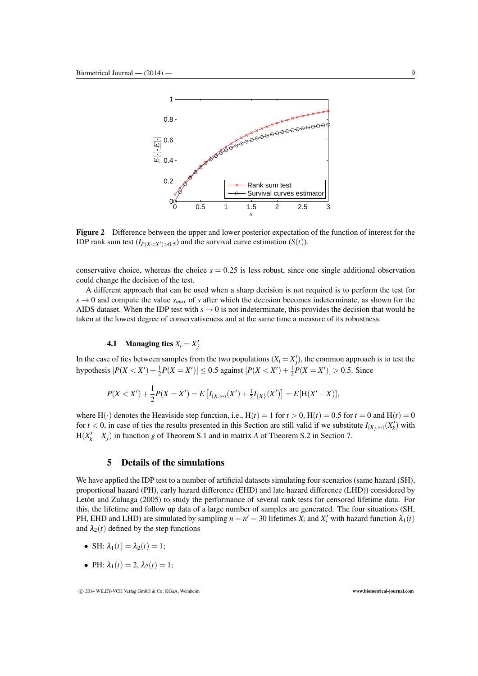

Figure 2 Difference between the upper and lower posterior expectation of the function of interest for the IDP rank sum test  $(I_{P(X \lt X') > 0.5})$  and the survival curve estimation  $(S(t))$ .

conservative choice, whereas the choice  $s = 0.25$  is less robust, since one single additional observation could change the decision of the test.

A different approach that can be used when a sharp decision is not required is to perform the test for  $s \to 0$  and compute the value  $s_{max}$  of *s* after which the decision becomes indeterminate, as shown for the AIDS dataset. When the IDP test with  $s \to 0$  is not indeterminate, this provides the decision that would be taken at the lowest degree of conservativeness and at the same time a measure of its robustness.

# 4.1 Managing ties  $X_i = X'_j$

In the case of ties between samples from the two populations  $(X_i = X'_j)$ , the common approach is to test the hypothesis  $[P(X < X') + \frac{1}{2}P(X = X')] \le 0.5$  against  $[P(X < X') + \frac{1}{2}P(X = X')] > 0.5$ . Since

$$
P(X < X') + \frac{1}{2}P(X = X') = E[I_{(X, \infty)}(X') + \frac{1}{2}I_{\{X\}}(X')] = E[H(X' - X)],
$$

where H( $\cdot$ ) denotes the Heaviside step function, i.e., H(*t*) = 1 for  $t > 0$ , H(*t*) = 0.5 for  $t = 0$  and H(*t*) = 0 for  $t < 0$ , in case of ties the results presented in this Section are still valid if we substitute  $I_{(X_j, \infty)}(X'_k)$  with  $H(X'_{k} - X_{j})$  in function *g* of Theorem S.1 and in matrix *A* of Theorem S.2 in Section 7.

### 5 Details of the simulations

We have applied the IDP test to a number of artificial datasets simulating four scenarios (same hazard (SH), proportional hazard (PH), early hazard difference (EHD) and late hazard difference (LHD)) considered by Leton and Zuluaga (2005) to study the performance of several rank tests for censored lifetime data. For this, the lifetime and follow up data of a large number of samples are generated. The four situations (SH, PH, EHD and LHD) are simulated by sampling  $n = n' = 30$  lifetimes  $X_i$  and  $X'_i$  with hazard function  $\lambda_1(t)$ and  $\lambda_2(t)$  defined by the step functions

• SH: 
$$
\lambda_1(t) = \lambda_2(t) = 1;
$$

• PH:  $\lambda_1(t) = 2, \lambda_2(t) = 1;$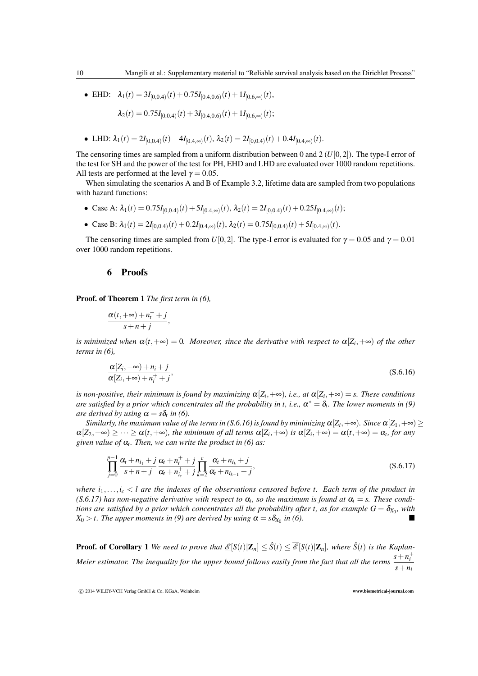• EHD: 
$$
\lambda_1(t) = 3I_{[0,0.4)}(t) + 0.75I_{[0.4,0.6)}(t) + 1I_{[0.6,\infty)}(t),
$$

$$
\lambda_2(t) = 0.75I_{[0,0.4)}(t) + 3I_{[0.4,0.6)}(t) + 1I_{[0.6,\infty)}(t);
$$

• LHD: 
$$
\lambda_1(t) = 2I_{[0,0.4)}(t) + 4I_{[0.4,\infty)}(t), \lambda_2(t) = 2I_{[0,0.4)}(t) + 0.4I_{[0.4,\infty)}(t).
$$

The censoring times are sampled from a uniform distribution between 0 and  $2(U[0,2])$ . The type-I error of the test for SH and the power of the test for PH, EHD and LHD are evaluated over 1000 random repetitions. All tests are performed at the level  $\gamma = 0.05$ .

When simulating the scenarios A and B of Example 3.2, lifetime data are sampled from two populations with hazard functions:

- Case A:  $\lambda_1(t) = 0.75I_{[0,0.4]}(t) + 5I_{[0.4,\infty]}(t)$ ,  $\lambda_2(t) = 2I_{[0,0.4]}(t) + 0.25I_{[0.4,\infty]}(t)$ ;
- Case B:  $\lambda_1(t) = 2I_{[0,0.4)}(t) + 0.2I_{[0,4,\infty)}(t)$ ,  $\lambda_2(t) = 0.75I_{[0,0.4)}(t) + 5I_{[0,4,\infty)}(t)$ .

The censoring times are sampled from *U*[0*,*2]. The type-I error is evaluated for  $\gamma = 0.05$  and  $\gamma = 0.01$ over 1000 random repetitions.

### 6 Proofs

Proof. of Theorem 1 *The first term in (6),*

$$
\frac{\alpha(t,+\infty)+n_t^++j}{s+n+j},
$$

*is minimized when*  $\alpha(t, +\infty) = 0$ . Moreover, since the derivative with respect to  $\alpha[Z_i, +\infty)$  of the other *terms in (6),*

$$
\frac{\alpha[Z_i, +\infty) + n_i + j}{\alpha[Z_i, +\infty) + n_i^+ + j},\tag{S.6.16}
$$

*is non-positive, their minimum is found by maximizing*  $\alpha[Z_i,+\infty)$ *, i.e., at*  $\alpha[Z_i,+\infty) =$  *s. These conditions are satisfied by a prior which concentrates all the probability in t, i.e.,*  $\alpha^* = \delta_t$ *. The lower moments in* (9) *are derived by using*  $\alpha = s\delta_t$  *in* (6).

 $S$ imilarly, the maximum value of the terms in (S.6.16) is found by minimizing  $\alpha[Z_i,+\infty)$ . Since  $\alpha[Z_1,+\infty)\geq 0$  $\alpha$   $[Z_2, +\infty) \ge \cdots \ge \alpha$  (*t*,  $+\infty$ )*, the minimum of all terms*  $\alpha$   $[Z_i, +\infty)$  *is*  $\alpha$   $[Z_i, +\infty) = \alpha$ <sub>*t*</sub>, *for any given value of* <sup>α</sup>*<sup>t</sup> . Then, we can write the product in (6) as:*

$$
\prod_{j=0}^{p-1} \frac{\alpha_i + n_{i_1} + j}{s + n + j} \frac{\alpha_i + n_t^+ + j}{\alpha_i + n_{i_c}^+ + j} \prod_{k=2}^c \frac{\alpha_i + n_{i_k} + j}{\alpha_i + n_{i_{k-1}} + j},
$$
\n(S.6.17)

*where*  $i_1, \ldots, i_c \leq l$  are the indexes of the observations censored before t. Each term of the product in *(S.6.17) has non-negative derivative with respect to*  $\alpha_t$ , *so the maximum is found at*  $\alpha_t = s$ . These condi*tions are satisfied by a prior which concentrates all the probability after t, as for example*  $G = \delta_{X_0}$ *, with*  $X_0 > t$ . The upper moments in (9) are derived by using  $\alpha = s\delta_{X_0}$  in (6).

**Proof. of Corollary 1** We need to prove that  $\mathcal{E}[S(t)|\mathbf{Z}_n] \leq \hat{S}(t) \leq \overline{\mathcal{E}}[S(t)|\mathbf{Z}_n]$ , where  $\hat{S}(t)$  is the Kaplan-*Meier estimator. The inequality for the upper bound follows easily from the fact that all the terms*  $\frac{s+n_i^+}{s}$ *s*+*n<sup>i</sup>*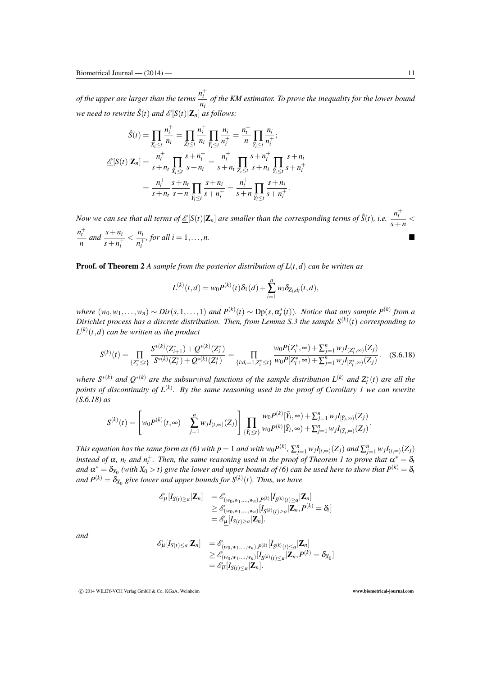*of the upper are larger than the terms*  $\frac{n_i^+}{n_i^-}$  $\frac{r_1}{n_i}$  *of the KM estimator. To prove the inequality for the lower bound we need to rewrite*  $\hat{S}(t)$  *and*  $\underline{\mathcal{E}}[S(t)|\mathbf{Z}_n]$  *as follows:* 

$$
\hat{S}(t) = \prod_{\vec{x}_i \leq t} \frac{n_i^+}{n_i} = \prod_{\vec{z}_i \leq t} \frac{n_i^+}{n_i} \prod_{\vec{y}_i \leq t} \frac{n_i}{n_i^+} = \frac{n_i^+}{n} \prod_{\vec{y}_i \leq t} \frac{n_i}{n_i^+};
$$
\n
$$
\underline{\mathcal{E}}[S(t)|\mathbf{Z}_n] = \frac{n_i^+}{s + n_i} \prod_{\vec{x}_i \leq t} \frac{s + n_i^+}{s + n_i} = \frac{n_i^+}{s + n_i} \prod_{\vec{z}_i \leq t} \frac{s + n_i^+}{s + n_i} \prod_{\vec{y}_i \leq t} \frac{s + n_i^+}{s + n_i^+}
$$
\n
$$
= \frac{n_i^+}{s + n_i} \frac{s + n_i}{s + n} \prod_{\vec{y}_i \leq t} \frac{s + n_i^-}{s + n_i^+} = \frac{n_i^+}{s + n} \prod_{\vec{y}_i \leq t} \frac{s + n_i^-}{s + n_i^+}.
$$

*Now we can see that all terms of*  $\underline{\mathscr{E}}[S(t)|\mathbf{Z}_n]$  are smaller than the corresponding terms of  $\hat{S}(t)$ , i.e.  $\frac{n_t^+}{s}$  $\frac{n_l}{s+n}$  $n_t^+$  $\frac{a_i^+}{n}$  and  $\frac{s+n_i}{s+n_i^+}$  $\langle \frac{n_i}{4} \rangle$  $\overline{n_i^+}$ *, for all i* = 1*,...,n.*

**Proof. of Theorem 2** *A sample from the posterior distribution of*  $L(t,d)$  *can be written as* 

$$
L^{(k)}(t,d) = w_0 P^{(k)}(t) \delta_1(d) + \sum_{i=1}^n w_i \delta_{Z_i,d_i}(t,d),
$$

where  $(w_0, w_1, \ldots, w_n) \sim Dir(s, 1, \ldots, 1)$  and  $P^{(k)}(t) \sim Dp(s, \alpha_s^*(t))$ . Notice that any sample  $P^{(k)}$  from a *Dirichlet process has a discrete distribution. Then, from Lemma S.3 the sample S*(*k*) (*t*) *corresponding to*  $L^{(k)}(t,d)$  *can be written as the product* 

$$
S^{(k)}(t) = \prod_{\{Z_i^s \le t\}} \frac{S^{*(k)}(Z_{i+1}^*) + Q^{*(k)}(Z_i^*)}{S^{*(k)}(Z_i^*) + Q^{*(k)}(Z_i^*)} = \prod_{\{i:d_i = 1, Z_i^* \le t\}} \frac{w_0 P(Z_i^*, \infty) + \sum_{j=1}^n w_j I_{(Z_i^*, \infty)}(Z_j)}{w_0 P(Z_i^*, \infty) + \sum_{j=1}^n w_j I_{(Z_i^*, \infty)}(Z_j)}.
$$
 (S.6.18)

*where S∗*(*k*) *and Q∗*(*k*) *are the subsurvival functions of the sample distribution L*(*k*) *and Z<sup>∗</sup> i* (*t*) *are all the points of discontinuity of L*(*k*) *. By the same reasoning used in the proof of Corollary 1 we can rewrite (S.6.18) as*

$$
S^{(k)}(t)=\left[w_0P^{(k)}(t,\infty)+\sum_{j=1}^n w_jI_{(t,\infty)}(Z_j)\right]\prod_{\{\tilde{Y}_i\leq t\}}\frac{w_0P^{(k)}[\tilde{Y}_i,\infty)+\sum_{j=1}^n w_jI_{[\tilde{Y}_i,\infty)}(Z_j)}{w_0P^{(k)}[\tilde{Y}_i,\infty)+\sum_{j=1}^n w_jI_{(\tilde{Y}_i,\infty)}(Z_j)}.
$$

This equation has the same form as (6) with  $p=1$  and with  $w_0P^{(k)}$ ,  $\sum_{j=1}^n w_jI_{[t,\infty)}(Z_j)$  and  $\sum_{j=1}^n w_jI_{(t,\infty)}(Z_j)$ *instead of*  $\alpha$ ,  $n_t$  *and*  $n_t^+$ *. Then, the same reasoning used in the proof of Theorem 1 to prove that*  $\alpha^* = \delta_t$ *and*  $\alpha^* = \delta_{X_0}$  (with  $X_0 > t$ ) give the lower and upper bounds of (6) can be used here to show that  $P^{(k)} = \delta_{k}$  $and P^{(k)} = \delta_{X_0}$  give lower and upper bounds for  $S^{(k)}(t)$ . Thus, we have

$$
\mathscr{E}_{\mu}[I_{S(t)\geq a}|\mathbf{Z}_n] = \mathscr{E}_{(w_0,w_1,\ldots,w_n),P^{(k)}}[I_{S^{(k)}(t)\geq a}|\mathbf{Z}_n]
$$
  
\n
$$
\geq \mathscr{E}_{(w_0,w_1,\ldots,w_n)}[I_{S^{(k)}(t)\geq a}|\mathbf{Z}_n,P^{(k)} = \delta_t]
$$
  
\n
$$
= \mathscr{E}_{\mu}[I_{S(t)\geq a}|\mathbf{Z}_n].
$$

*and*

$$
\mathscr{E}_{\mu}[I_{S(t)\leq a}|\mathbf{Z}_{n}] = \mathscr{E}_{(w_0,w_1,\ldots,w_n),P^{(k)}}[I_{S^{(k)}(t)\leq a}|\mathbf{Z}_{n}] \geq \mathscr{E}_{(w_0,w_1,\ldots,w_n)}[I_{S^{(k)}(t)\leq a}|\mathbf{Z}_{n},P^{(k)} = \delta_{X_0}] = \mathscr{E}_{\mu}[I_{S(t)\leq a}|\mathbf{Z}_{n}].
$$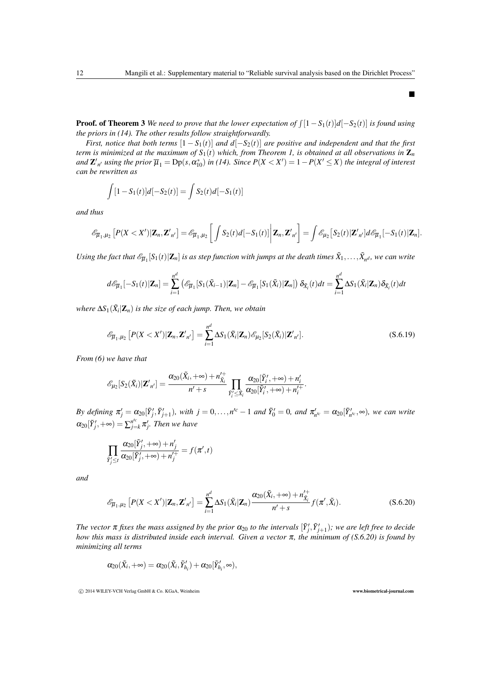п

Proof. of Theorem 3 *We need to prove that the lower expectation of* ∫ [1*−S*1(*t*)]*d*[*−S*2(*t*)] *is found using the priors in (14). The other results follow straightforwardly.*

*First, notice that both terms* [1 *− S*1(*t*)] *and d*[*−S*2(*t*)] *are positive and independent and that the first term is minimized at the maximum of*  $S_1(t)$  *which, from Theorem 1, is obtained at all observations in*  $\mathbb{Z}_n$ and  $\mathbf{Z'}_{n'}$  using the prior  $\overline{\mu}_1 = \text{Dp}(s, \alpha_{10}^*)$  in (14). Since  $P(X < X') = 1 - P(X' \leq X)$  the integral of interest *can be rewritten as*

$$
\int [1 - S_1(t)]d[-S_2(t)] = \int S_2(t)d[-S_1(t)]
$$

*and thus*

$$
\mathscr{E}_{\overline{\mu}_1,\mu_2}\left[P(X
$$

*Using the fact that*  $\mathscr{E}_{\overline{\mu}_1}[S_1(t)|\mathbf{Z}_n]$  *is as step function with jumps at the death times*  $\tilde{X}_1,\ldots,\tilde{X}_{n^d}$ *, we can write* 

$$
d\mathscr{E}_{\overline{\mu}_1}[-S_1(t)|\mathbf{Z}_n]=\sum_{i=1}^{n^d}\left(\mathscr{E}_{\overline{\mu}_1}[S_1(\tilde{X}_{i-1})|\mathbf{Z}_n]-\mathscr{E}_{\overline{\mu}_1}[S_1(\tilde{X}_i)|\mathbf{Z}_n]\right)\delta_{\tilde{X}_i}(t)dt=\sum_{i=1}^{n^d}\Delta S_1(\tilde{X}_i|\mathbf{Z}_n)\delta_{\tilde{X}_i}(t)dt
$$

 $\mathcal{S}(\mathbf{X}_i|\mathbf{Z}_n)$  *is the size of each jump. Then, we obtain* 

$$
\mathscr{E}_{\overline{\mu}_1,\mu_2}\left[P(X\n(S.6.19)
$$

*From (6) we have that*

$$
\mathscr{E}_{\mu_2}[S_2(\tilde{X}_i)|\mathbf{Z'}_{n'}] = \frac{\alpha_{20}(\tilde{X}_i,+\infty)+n'^+_{\tilde{X}_i}}{n'+s}\prod_{\tilde{Y}'_i\leq \tilde{X}_i}\frac{\alpha_{20}[\tilde{Y}'_i,+\infty)+n'_i}{\alpha_{20}[\tilde{Y}'_i,+\infty)+n'^+_{i}}.
$$

By defining  $\pi'_j = \alpha_{20}[\tilde{Y}'_j, \tilde{Y}'_{j+1})$ , with  $j = 0, \ldots, n^{\prime c} - 1$  and  $\tilde{Y}'_0 = 0$ , and  $\pi'_{n^{\prime c}} = \alpha_{20}[\tilde{Y}'_{n^{\prime c}}, \infty)$ , we can write  $\alpha_{20}[\tilde{Y}'_j,+\infty)=\sum_{j=1}^{n^{\prime c}}$ *j*=*k* π *′ j . Then we have*

$$
\prod_{\substack{\tilde{Y}'_j\leq t\\ \tilde{Y}'_j\leq t}}\frac{\alpha_{20}[\tilde{Y}'_j,+\infty)+n'_j}{\alpha_{20}[\tilde{Y}'_j,+\infty)+n'^+_j}=f(\pi',t)
$$

*and*

$$
\mathscr{E}_{\overline{\mu}_1,\mu_2}\left[P(X
$$

*The vector*  $\pi$  *fixes the mass assigned by the prior*  $\alpha_{20}$  *to the intervals*  $[\tilde{Y}'_j, \tilde{Y}'_{j+1})$ *; we are left free to decide how this mass is distributed inside each interval. Given a vector* <sup>π</sup>*, the minimum of (S.6.20) is found by minimizing all terms*

$$
\alpha_{20}(\tilde{X}_i,+\infty)=\alpha_{20}(\tilde{X}_i,\tilde{Y}^{\prime}_{h_i})+\alpha_{20}[\tilde{Y}^{\prime}_{h_i},\infty),
$$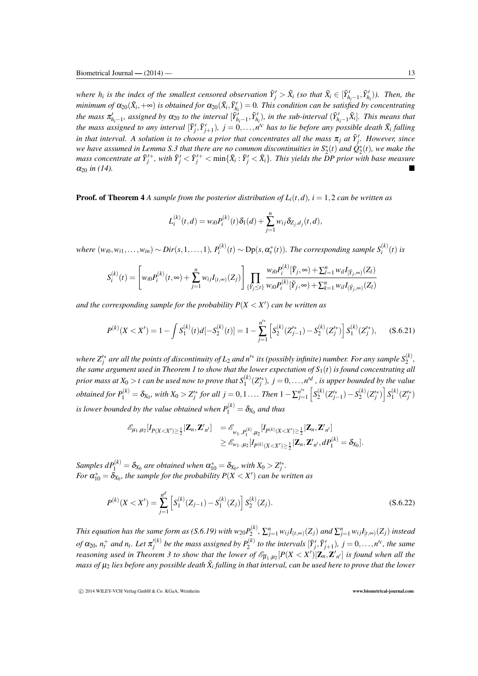where  $h_i$  is the index of the smallest censored observation  $\tilde{Y}'_j > \tilde{X}_i$  (so that  $\tilde{X}_i \in [\tilde{Y}'_{h_i-1}, \tilde{Y}'_{h_i})$ ). Then, the *minimum of*  $\alpha_{20}(\tilde{X}_i,+\infty)$  *is obtained for*  $\alpha_{20}(\tilde{X}_i,\tilde{Y}'_{h_i})=0$ . This condition can be satisfied by concentrating the mass  $\pi'_{h_i-1}$ , assigned by  $\alpha_{20}$  to the interval  $[\tilde{Y}_{h_i-1}^j, \tilde{Y}_{h_i}^j]$ , in the sub-interval  $(\tilde{Y}_{h_i-1}^j \tilde{X}_i]$ . This means that the mass assigned to any interval  $[\tilde{Y}'_j, \tilde{Y}'_{j+1}), j = 0, \ldots, n^{\prime c}$  has to lie before any possible death  $\tilde{X}_i$  falling *in that interval. A solution is to choose a prior that concentrates all the mass*  $\pi_j$  *at*  $\tilde{Y}'_j$ *. However, since* we have assumed in Lemma S.3 that there are no common discontinuities in  $S_2^*(t)$  and  $\dot{Q}_2^*(t)$ , we make the mass concentrate at  $\tilde Y_j'+$  with  $\tilde Y_j'<\tilde Y_j'+<\min\{\tilde X_i:\tilde Y_j'<\tilde X_i\}.$  This yields the DP prior with base measure  $\alpha_{20}$  *in (14).* 

**Proof. of Theorem 4** A sample from the posterior distribution of  $L_i(t,d)$ ,  $i = 1,2$  can be written as

$$
L_i^{(k)}(t,d) = w_{i0} P_i^{(k)}(t) \delta_1(d) + \sum_{j=1}^n w_{ij} \delta_{Z_j,d_j}(t,d),
$$

where  $(w_{i0}, w_{i1}, \ldots, w_{in}) \sim Dir(s, 1, \ldots, 1), P_i^{(k)}(t) \sim Dp(s, \alpha_s^*(t)).$  The corresponding sample  $S_i^{(k)}(t)$  is

$$
S_i^{(k)}(t) = \left[w_{i0}P_i^{(k)}(t,\infty) + \sum_{j=1}^n w_{ij}I_{(t,\infty)}(Z_j)\right] \prod_{\{\tilde{Y}_j \le t\}} \frac{w_{i0}P_i^{(k)}[\tilde{Y}_j,\infty) + \sum_{l=1}^n w_{il}I_{[\tilde{Y}_j,\infty)}(Z_l)}{w_{i0}P_i^{(k)}[\tilde{Y}_j,\infty) + \sum_{k=1}^n w_{il}I_{(\tilde{Y}_j,\infty)}(Z_l)}
$$

*and the corresponding sample for the probability*  $P(X < X')$  *can be written as* 

$$
P^{(k)}(X < X') = 1 - \int S_1^{(k)}(t) d[-S_2^{(k)}(t)] = 1 - \sum_{j=1}^{n'^*} \left[ S_2^{(k)}(Z_{j-1}'^*) - S_2^{(k)}(Z_j'^*) \right] S_1^{(k)}(Z_j'^*), \quad (S.6.21)
$$

where  $Z_j'$  are all the points of discontinuity of  $L_2$  and n'\* its (possibly infinite) number. For any sample  $S_2^{(k)}$ , *the same argument used in Theorem 1 to show that the lower expectation of S*1(*t*) *is found concentrating all* prior mass at  $X_0 > t$  can be used now to prove that  $S_1^{(k)}(Z_j'^*)$ ,  $j = 0, \ldots, n'^d$  , is upper bounded by the value *obtained for*  $P_1^{(k)} = \delta_{X_0}$ , with  $X_0 > Z_j'$  *for all j* = 0,1.... Then 1 -  $\sum_{j=1}^{n'^*}$  $j=1 \nvert S_2^{(k)}$  $S_2^{(k)}(Z_{j-1}'^*)-S_2^{(k)}$  $\left[\begin{smallmatrix} (k) \ 2 \end{smallmatrix}\right] (Z^{\prime *}_j) \left[ \begin{smallmatrix} S^{(k)}_1 \ S^{(k)}_1 \end{smallmatrix} \right]$  $J_1^{(k)}(Z_j^{\prime\ast})$ *is lower bounded by the value obtained when*  $P_1^{(k)} = \delta_{X_0}$  and thus

$$
\begin{array}{ll}\mathscr{E}_{\mu_1,\mu_2}[I_{P(X
$$

 $Samples dP_1^{(k)} = \delta_{X_0}$  are obtained when  $\alpha_{10}^* = \delta_{X_0}$ , with  $X_0 > Z_j'^*$ . *For*  $\alpha_{10}^* = \delta_{X_0}$ , the sample for the probability  $P(X < X')$  can be written as

$$
P^{(k)}(X < X') = \sum_{j=1}^{n^d} \left[ S_1^{(k)}(Z_{j-1}) - S_1^{(k)}(Z_j) \right] S_2^{(k)}(Z_j). \tag{S.6.22}
$$

*This equation has the same form as (S.6.19) with*  $w_{20}P_2^{(k)}$  $\sum_{2}^{n}(k^{j},\sum_{j=1}^{n}w_{ij}I_{(t,\infty)}(Z_{j})$  and  $\sum_{j=1}^{n}w_{ij}I_{[t,\infty)}(Z_{j})$  instead  $\alpha$ <sub>20</sub>,  $n_t^+$  and  $n_t$ . Let  $\pi'^{(k)}_i$  $J^{(k)}$  be the mass assigned by  $P_2^{(k)}$  to the intervals  $[\tilde{Y}'_j, \tilde{Y}'_{j+1})$ ,  $j = 0, \ldots, n^{\prime c}$ , the same *reasoning used in Theorem 3 to show that the lower of*  $\mathscr{E}_{\overline{\mu}_1,\mu_2}[P(X < X')|\mathbf{Z}_n,\mathbf{Z'}_{n'}]$  is found when all the *mass of* <sup>µ</sup><sup>2</sup> *lies before any possible death X*˜ *i falling in that interval, can be used here to prove that the lower*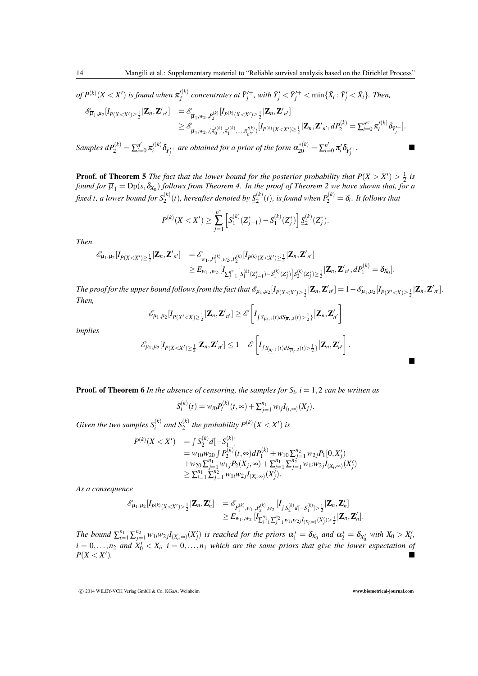of 
$$
P^{(k)}(X < X')
$$
 is found when  $\pi_j'^{(k)}$  concentrates at  $\tilde{Y}_j'^+$ , with  $\tilde{Y}_j' < \tilde{Y}_j'^+$   $\langle \min\{\tilde{X}_i : \tilde{Y}_j' < \tilde{X}_i\}$ . Then,  
\n
$$
\mathcal{E}_{\overline{\mu}_1,\mu_2}[I_{P(X < X')\geq \frac{1}{2}}|\mathbf{Z}_n, \mathbf{Z'}_{n'}] = \mathcal{E}_{\overline{\mu}_1,\mu_2,P_2^{(k)}}[I_{P^{(k)}(X < X')\geq \frac{1}{2}}|\mathbf{Z}_n, \mathbf{Z'}_{n'}]
$$
\n
$$
\geq \mathcal{E}_{\overline{\mu}_1,\mu_2,(\pi_0^{(k)},\pi_1^{(k)},\dots,\pi_{n'}^{(k)})}[I_{P^{(k)}(X < X')\geq \frac{1}{2}}|\mathbf{Z}_n, \mathbf{Z'}_{n'}, dP_2^{(k)} = \sum_{i=0}^{n^c} \pi_i'^{(k)} \delta_{\tilde{Y}_j'^+}].
$$
\nSamples  $dP_2^{(k)} = \sum_{i=0}^{n^{\prime}} \pi_i'^{(k)} \delta_{\tilde{Y}_j'^+}$  are obtained for a prior of the form  $\alpha_{20}^{*(k)} = \sum_{i=0}^{n^{\prime}} \pi_i' \delta_{\tilde{Y}_j'^+}$ .

**Proof. of Theorem 5** *The fact that the lower bound for the posterior probability that*  $P(X > X') > \frac{1}{2}$  *is found for* $\overline{\mu}_1 = \text{Dp}(s, \delta_{X_0})$  **follows from Theorem 4. In the proof of Theorem 2 we have shown that, for a** fixed t, a lower bound for  $S_2^{(k)}(t)$ , hereafter denoted by  $S_2^{(k)}(t)$ , is found when  $P_2^{(k)}=\delta_t$ . It follows that

$$
P^{(k)}(X < X') \geq \sum_{j=1}^{n^*} \left[ S_1^{(k)}(Z_{j-1}^*) - S_1^{(k)}(Z_j^*) \right] \underline{S}_2^{(k)}(Z_j^*).
$$

*Then*

$$
\mathscr{E}_{\mu_1,\mu_2}[I_{P(X  
\n
$$
\geq E_{w_1,w_2}[I_{\sum_{j=1}^*}\Big[s_1^{(k)}(z_{j-1}^*)-s_1^{(k)}(z_j^*)\Big]s_2^{(k)}(z_j^*)\geq \frac{1}{2}|\mathbf{Z}_n,\mathbf{Z'}_{n'},dP_1^{(k)}=\delta_{X_0}].
$$
$$

The proof for the upper bound follows from the fact that  $\mathscr{E}_{\mu_1,\mu_2}[I_{P(X$ *Then,*

$$
\mathscr{E}_{\mu_1,\mu_2}[I_{P(X'\frac{1}{2}}|\mathbf{Z}_n,\mathbf{Z}_{n'}'\right]
$$

*implies*

$$
\mathscr{E}_{\mu_1,\mu_2}[I_{P(X\frac{1}{2}}|\mathbf{Z}_n,\mathbf{Z}'_{n'}\right].
$$

**Proof. of Theorem 6** In the absence of censoring, the samples for  $S_i$ ,  $i = 1,2$  can be written as

$$
S_i^{(k)}(t) = w_{i0} P_i^{(k)}(t, \infty) + \sum_{j=1}^{n_1} w_{ij} I_{(t, \infty)}(X_j).
$$

*Given the two samples*  $S_i^{(k)}$  and  $S_2^{(k)}$  the probability  $P^{(k)}(X < X')$  is

$$
P^{(k)}(X < X') = \int S_2^{(k)} d[-S_1^{(k)}]
$$
  
=  $w_{10}w_{20} \int P_2^{(k)}(t, \infty) dP_1^{(k)} + w_{10} \sum_{j=1}^{n_2} w_{2j} P_1[0, X'_j)$   
+  $w_{20} \sum_{j=1}^{n_1} w_{1j} P_2(X_j, \infty) + \sum_{i=1}^{n_1} \sum_{j=1}^{n_2} w_{1i} w_{2j} I_{(X_i, \infty)}(X'_j)$   
 $\ge \sum_{i=1}^{n_1} \sum_{j=1}^{n_2} w_{1i} w_{2j} I_{(X_i, \infty)}(X'_j).$ 

*As a consequence*

$$
\begin{array}{ll} \mathscr{E}_{\mu_1,\mu_2}[I_{P^{(k)}(X\frac{1}{2}}|\mathbf{Z}_n,\mathbf{Z}_n']&=\mathscr{E}_{P_1^{(k)},w_1,P_2^{(k)},w_2.}[I_{\int S_2^{(k)}d[-S_1^{(k)}]> \frac{1}{2}}|\mathbf{Z}_n,\mathbf{Z}_n']\\ &\geq E_{w_1,w_2.}[I_{\sum_{i=1}^{n_1}\sum_{j=1}^{n_2}w_{1i}w_{2j}I_{(X_i,\infty)}(X_j')>\frac{1}{2}}|\mathbf{Z}_n,\mathbf{Z}_n'].\end{array}
$$

The bound  $\sum_{i=1}^{n_1} \sum_{j=1}^{n_2} w_{1i}w_{2j}I_{(X_i,\infty)}(X'_j)$  is reached for the priors  $\alpha_1^* = \delta_{X_0}$  and  $\alpha_2^* = \delta_{X'_0}$  with  $X_0 > X'_i$ ,  $i = 0, \ldots, n_2$  and  $X'_0 < X_i$ ,  $i = 0, \ldots, n_1$  which are the same priors that give the lower expectation of  $P(X < X'$ )*.*

*⃝*c 2014 WILEY-VCH Verlag GmbH & Co. KGaA, Weinheim www.biometrical-journal.com

 $\blacksquare$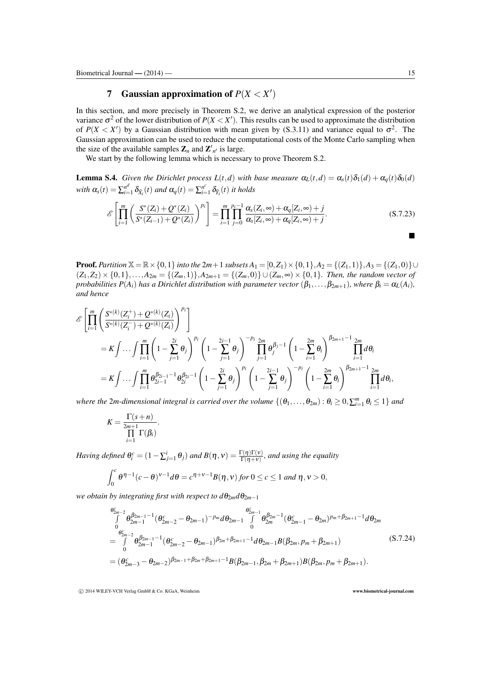# **7** Gaussian approximation of  $P(X < X')$

In this section, and more precisely in Theorem S.2, we derive an analytical expression of the posterior variance  $\sigma^2$  of the lower distribution of  $P(X < X')$ . This results can be used to approximate the distribution of  $P(X < X')$  by a Gaussian distribution with mean given by (S.3.11) and variance equal to  $\sigma^2$ . The Gaussian approximation can be used to reduce the computational costs of the Monte Carlo sampling when the size of the available samples  $\mathbf{Z}_n$  and  $\mathbf{Z'}_{n'}$  is large.

We start by the following lemma which is necessary to prove Theorem S.2.

**Lemma S.4.** Given the Dirichlet process  $L(t, d)$  with base measure  $\alpha_L(t, d) = \alpha_s(t)\delta_1(d) + \alpha_q(t)\delta_0(d)$ *with*  $\alpha_s(t) = \sum_{i=1}^{n^d}$  $\delta_{\tilde{X}_i}(t)$  and  $\alpha_q(t) = \sum_{i=1}^{n^c}$  $\sum_{i=1}^{n^c} \delta_{\tilde{Y}_i}(t)$  *it holds* 

$$
\mathscr{E}\left[\prod_{i=1}^{m}\left(\frac{S^*(Z_i)+Q^*(Z_i)}{S^*(Z_{i-1})+Q^*(Z_i)}\right)^{p_i}\right]=\prod_{i=1}^{m}\prod_{j=0}^{p_i-1}\frac{\alpha_s(Z_i,\infty)+\alpha_q(Z_i,\infty)+j}{\alpha_s(Z_i,\infty)+\alpha_q(Z_i,\infty)+j}.
$$
\n(S.7.23)

**Proof.** Partition  $\mathbb{X} = \mathbb{R} \times \{0, 1\}$  into the  $2m+1$  subsets  $A_1 = [0, Z_1) \times \{0, 1\}, A_2 = \{(Z_1, 1)\}, A_3 = \{(Z_1, 0)\} \cup$  $(Z_1,Z_2)\times\{0,1\},\ldots,A_{2m}=\{(Z_m,1)\},A_{2m+1}=\{(Z_m,0)\}\cup(Z_m,\infty)\times\{0,1\}.$  Then, the random vector of *probabilities P*( $A_i$ ) *has a Dirichlet distribution with parameter vector* ( $\beta_1, \ldots, \beta_{2m+1}$ )*, where*  $\beta_i = \alpha_L(A_i)$ *, and hence*

$$
\begin{split}\n&\mathscr{E}\left[\prod_{i=1}^{m}\left(\frac{S^{*(k)}(Z_{i}^{+})+Q^{*(k)}(Z_{i})}{S^{*(k)}(Z_{i}^{-})+Q^{*(k)}(Z_{i})}\right)^{p_{i}}\right] \\
&=K\int...\int\prod_{i=1}^{m}\left(1-\sum_{j=1}^{2i}\theta_{j}\right)^{p_{i}}\left(1-\sum_{j=1}^{2i-1}\theta_{j}\right)^{-p_{i}}\prod_{j=1}^{2m}\theta_{j}^{\beta_{j}-1}\left(1-\sum_{i=1}^{2m}\theta_{i}\right)^{\beta_{2m+1}-1}\prod_{i=1}^{2m}d\theta_{i} \\
&=K\int...\int\prod_{i=1}^{m}\theta_{2i-1}^{\beta_{2i-1}-1}\theta_{2i}^{\beta_{2i}-1}\left(1-\sum_{j=1}^{2i}\theta_{j}\right)^{p_{i}}\left(1-\sum_{j=1}^{2i-1}\theta_{j}\right)^{-p_{i}}\left(1-\sum_{i=1}^{2m}\theta_{i}\right)^{\beta_{2m+1}-1}\prod_{i=1}^{2m}d\theta_{i},\n\end{split}
$$

*where the 2m-dimensional integral is carried over the volume*  $\{(\theta_1,\ldots,\theta_{2m}): \theta_i \ge 0, \sum_{i=1}^m \theta_i \le 1\}$  *and* 

$$
K = \frac{\Gamma(s+n)}{\prod_{i=1}^{2m+1} \Gamma(\beta_i)}.
$$

*Having defined*  $\theta_i^c = (1 - \sum_{j=1}^i \theta_j)$  *and*  $B(\eta, v) = \frac{\Gamma(\eta)\Gamma(v)}{\Gamma(\eta+v)}$ *, and using the equality* 

$$
\int_0^c \theta^{\eta-1}(c-\theta)^{\nu-1}d\theta = c^{\eta+\nu-1}B(\eta,\nu) \text{ for } 0 \le c \le 1 \text{ and } \eta, \nu > 0,
$$

*we obtain by integrating first with respect to*  $d\theta_{2m}d\theta_{2m-1}$ 

$$
\begin{split}\n&\int_{0}^{\theta_{2m-1}^{c}} \theta_{2m-1}^{\beta_{2m-1}-1} (\theta_{2m-2}^{c} - \theta_{2m-1})^{-p_{m}} d\theta_{2m-1} \int_{0}^{\theta_{2m-1}^{c}} \theta_{2m}^{\beta_{2m-1}} (\theta_{2m-1}^{c} - \theta_{2m})^{p_{m} + \beta_{2m+1}-1} d\theta_{2m} \\
&= \int_{0}^{\theta_{2m-2}^{c}} \theta_{2m-1}^{\beta_{2m-1}-1} (\theta_{2m-2}^{c} - \theta_{2m-1})^{\beta_{2m} + \beta_{2m+1}-1} d\theta_{2m-1} B(\beta_{2m}, p_{m} + \beta_{2m+1}) \\
&= (\theta_{2m-3}^{c} - \theta_{2m-2})^{\beta_{2m-1} + \beta_{2m} + \beta_{2m+1}-1} B(\beta_{2m-1}, \beta_{2m} + \beta_{2m+1}) B(\beta_{2m}, p_{m} + \beta_{2m+1}).\n\end{split} \tag{S.7.24}
$$

*⃝*c 2014 WILEY-VCH Verlag GmbH & Co. KGaA, Weinheim www.biometrical-journal.com

п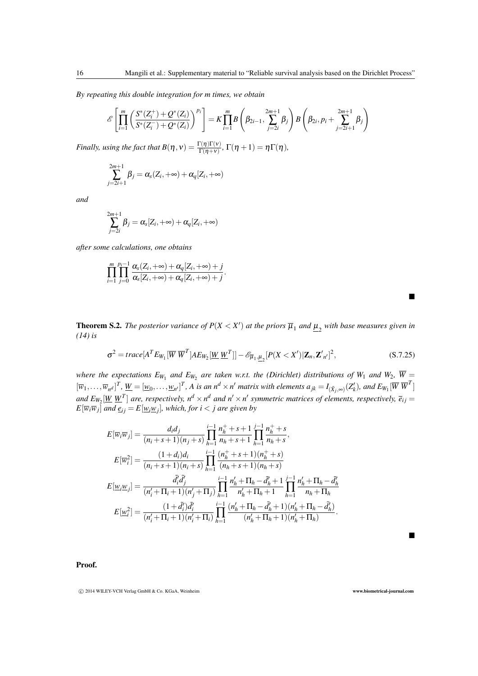*By repeating this double integration for m times, we obtain*

$$
\mathscr{E}\left[\prod_{i=1}^{m}\left(\frac{S^*(Z_i^+)+Q^*(Z_i)}{S^*(Z_i^-)+Q^*(Z_i)}\right)^{p_i}\right]=K\prod_{i=1}^{m}B\left(\beta_{2i-1},\sum_{j=2i}^{2m+1}\beta_j\right)B\left(\beta_{2i},p_i+\sum_{j=2i+1}^{2m+1}\beta_j\right)
$$

*Finally, using the fact that*  $B(\eta, v) = \frac{\Gamma(\eta)\Gamma(v)}{\Gamma(\eta+v)}$ ,  $\Gamma(\eta+1) = \eta \Gamma(\eta)$ *,* 

$$
\sum_{j=2i+1}^{2m+1} \beta_j = \alpha_s(Z_i, +\infty) + \alpha_q[Z_i, +\infty)
$$

*and*

$$
\sum_{j=2i}^{2m+1}\beta_j=\alpha_s[Z_i,+\infty)+\alpha_q[Z_i,+\infty)
$$

*after some calculations, one obtains*

$$
\prod_{i=1}^m\prod_{j=0}^{p_i-1}\frac{\alpha_s(Z_i,+\infty)+\alpha_q[Z_i,+\infty)+j}{\alpha_s[Z_i,+\infty)+\alpha_q[Z_i,+\infty)+j}.
$$

п

**Theorem S.2.** The posterior variance of  $P(X \leq X')$  at the priors  $\overline{\mu}_1$  and  $\underline{\mu}_2$  with base measures given in *(14) is*

$$
\sigma^2 = trace[A^T E_{W_1}[\overline{W} \ \overline{W}^T] AE_{W_2}[\underline{W} \ \underline{W}^T]] - \mathscr{E}_{\overline{\mu}_1, \underline{\mu}_2}[P(X < X') | \mathbf{Z}_n, \mathbf{Z'}_{n'}]^2, \tag{S.7.25}
$$

*where the expectations*  $E_{W_1}$  and  $E_{W_2}$  are taken w.r.t. the (Dirichlet) distributions of  $W_1$  and  $W_2$ ,  $\overline{W}$  =  $[\overline{w}_1,\ldots,\overline{w}_{n^d}]^T$ ,  $\underline{W}=[\underline{w}_0,\ldots,\underline{w}_{n'}]^T$ , A is an  $n^d\times n'$  matrix with elements  $a_{jk}=I_{(\tilde{X}_j,\infty)}(Z'_k)$ , and  $E_{W_1}[\overline{W} \ \overline{W}^T]$ and  $E_{W_2}[\underline{W} \ \underline{W}^T]$  are, respectively,  $n^d \times n^d$  and  $n' \times n'$  symmetric matrices of elements, respectively,  $\overline{e}_{ij}$  =  $E[\overline{w}_i\overline{w}_j]$  and  $\underline{e}_{ij} = E[\underline{w}_i\underline{w}_j]$ , which, for  $i < j$  are given by

$$
E[\overline{w}_{i}\overline{w}_{j}] = \frac{d_{i}d_{j}}{(n_{i} + s + 1)(n_{j} + s)} \prod_{h=1}^{i-1} \frac{n_{h}^{+} + s + 1}{n_{h} + s + 1} \prod_{h=1}^{j-1} \frac{n_{h}^{+} + s}{n_{h} + s},
$$
  
\n
$$
E[\overline{w}_{i}^{2}] = \frac{(1 + d_{i})d_{i}}{(n_{i} + s + 1)(n_{i} + s)} \prod_{h=1}^{i-1} \frac{(n_{h}^{+} + s + 1)(n_{h}^{+} + s)}{(n_{h} + s + 1)(n_{h} + s)}
$$
  
\n
$$
E[\underline{w}_{i}\underline{w}_{j}] = \frac{\tilde{d}_{i}^{*}\tilde{d}_{j}^{*}}{(n_{i}^{'} + \Pi_{i} + 1)(n_{j}^{'} + \Pi_{j})} \prod_{h=1}^{i-1} \frac{n_{h}^{'} + \Pi_{h} - \tilde{d}_{h}^{'} + 1}{n_{h}^{'} + \Pi_{h} + 1} \prod_{h=1}^{j-1} \frac{n_{h}^{'} + \Pi_{h} - \tilde{d}_{h}^{'}}{n_{h} + \Pi_{h}}
$$
  
\n
$$
E[\underline{w}_{i}^{2}] = \frac{(1 + \tilde{d}_{i}^{*})\tilde{d}_{i}^{*}}{(n_{i}^{'} + \Pi_{i} + 1)(n_{i}^{'} + \Pi_{i})} \prod_{h=1}^{i-1} \frac{(n_{h}^{'} + \Pi_{h} - \tilde{d}_{h}^{'} + 1)(n_{h}^{'} + \Pi_{h} - \tilde{d}_{h}^{'})}{(n_{h}^{'} + \Pi_{h} + 1)(n_{h}^{'} + \Pi_{h})}.
$$

### Proof.

*⃝*c 2014 WILEY-VCH Verlag GmbH & Co. KGaA, Weinheim www.biometrical-journal.com

п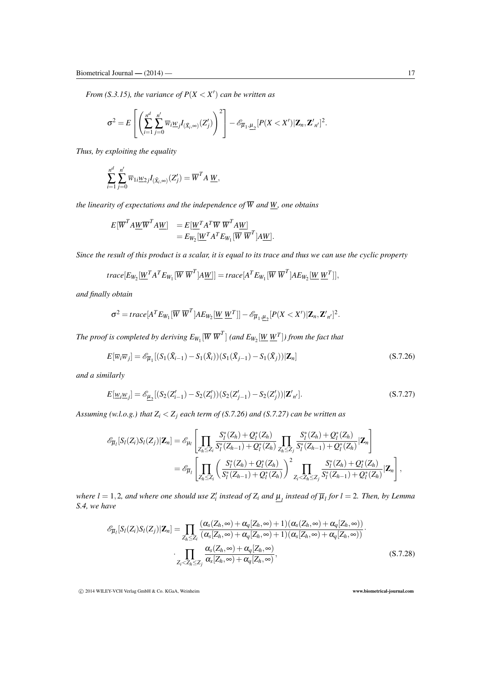*From (S.3.15), the variance of*  $P(X \leq X')$  *can be written as* 

$$
\sigma^2 = E\left[\left(\sum_{i=1}^{n^d}\sum_{j=0}^{n'}\overline{w_i}\underline{w_j}I_{(\tilde{X}_i,\infty)}(Z'_j)\right)^2\right] - \mathscr{E}_{\overline{\mu}_1,\underline{\mu}_2}[P(X
$$

*Thus, by exploiting the equality*

$$
\sum_{i=1}^{n^d} \sum_{j=0}^{n'} \overline{w}_{1i} \underline{w}_{2j} I_{(\tilde{X}_i, \infty)}(Z'_j) = \overline{W}^T A \underline{W},
$$

*the linearity of expectations and the independence of W and W, one obtains*

$$
E[\overline{W}^T A \underline{W} \overline{W}^T A \underline{W}] = E[\underline{W}^T A^T \overline{W} \ \overline{W}^T A \underline{W}]
$$
  
=  $E_{W_2}[\underline{W}^T A^T E_{W_1}[\overline{W} \ \overline{W}^T] A \underline{W}].$ 

*Since the result of this product is a scalar, it is equal to its trace and thus we can use the cyclic property*

$$
trace[E_{W_2}[\underline{W}^T A^T E_{W_1}[\overline{W} \ \overline{W}^T] A \underline{W}]] = trace[A^T E_{W_1}[\overline{W} \ \overline{W}^T] A E_{W_2}[\underline{W} \ \underline{W}^T]],
$$

*and finally obtain*

$$
\sigma^2 = trace[A^T E_{W_1}[\overline{W} \ \overline{W}^T] AE_{W_2}[\underline{W} \ \underline{W}^T]] - \mathscr{E}_{\overline{\mu}_1, \underline{\mu}_2}[P(X < X')|\mathbf{Z}_n, \mathbf{Z'}_{n'}]^2.
$$

The proof is completed by deriving  $E_{W_1}[\overline{W} \ \overline{W}^T]$  (and  $E_{W_2}[\underline{W} \ \underline{W}^T]$ ) from the fact that

$$
E[\overline{w}_i \overline{w}_j] = \mathcal{E}_{\overline{\mu}_1}[(S_1(\tilde{X}_{i-1}) - S_1(\tilde{X}_i))(S_1(\tilde{X}_{j-1}) - S_1(\tilde{X}_j))|\mathbf{Z}_n]
$$
\n(S.7.26)

*and a similarly*

$$
E[\underline{w_i w_j}] = \mathscr{E}_{\underline{\mu}_2}[(S_2(Z_{i-1}') - S_2(Z_i'))(S_2(Z_{j-1}') - S_2(Z_j'))|\mathbf{Z}_{n'}'].
$$
\n
$$
(S.7.27)
$$

*Assuming (w.l.o.g.) that Z<sup>i</sup> < Z<sup>j</sup> each term of (S.7.26) and (S.7.27) can be written as*

$$
\mathcal{E}_{\overline{\mu}_l}[S_l(Z_i)S_l(Z_j)|\mathbf{Z}_n] = \mathcal{E}_{\mu_l}\left[\prod_{Z_h \leq Z_i} \frac{S_l^*(Z_h) + Q_l^*(Z_h)}{S_l^*(Z_{h-1}) + Q_l^*(Z_h)} \prod_{Z_h \leq Z_j} \frac{S_l^*(Z_h) + Q_l^*(Z_h)}{S_l^*(Z_{h-1}) + Q_l^*(Z_h)} | \mathbf{Z}_n \right]
$$
  
= 
$$
\mathcal{E}_{\overline{\mu}_l}\left[\prod_{Z_h \leq Z_i} \left(\frac{S_l^*(Z_h) + Q_l^*(Z_h)}{S_l^*(Z_{h-1}) + Q_l^*(Z_h)}\right)^2 \prod_{Z_i < Z_h \leq Z_j} \frac{S_l^*(Z_h) + Q_l^*(Z_h)}{S_l^*(Z_{h-1}) + Q_l^*(Z_h)} | \mathbf{Z}_n \right],
$$

*where l* = 1,2, and where one should use  $Z'_i$  instead of  $Z_i$  and  $\underline{\mu}_l$  instead of  $\overline{\mu}_l$  for *l* = 2. Then, by Lemma *S.4, we have*

$$
\mathcal{E}_{\overline{\mu}_l}[S_l(Z_i)S_l(Z_j)|\mathbf{Z}_n] = \prod_{Z_h \leq Z_l} \frac{(\alpha_s(Z_h, \infty) + \alpha_q[Z_h, \infty) + 1)(\alpha_s(Z_h, \infty) + \alpha_q[Z_h, \infty))}{(\alpha_s[Z_h, \infty) + \alpha_q[Z_h, \infty) + 1)(\alpha_s[Z_h, \infty) + \alpha_q[Z_h, \infty))}.
$$
\n
$$
\cdot \prod_{Z_i < Z_h \leq Z_j} \frac{\alpha_s(Z_h, \infty) + \alpha_q[Z_h, \infty)}{\alpha_s[Z_h, \infty) + \alpha_q[Z_h, \infty)},
$$
\n(S.7.28)